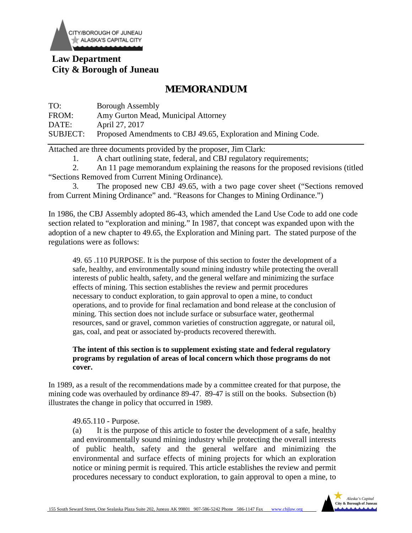

# **Law Department City & Borough of Juneau**

# **MEMORANDUM**

| TO:             | <b>Borough Assembly</b>                                        |
|-----------------|----------------------------------------------------------------|
| FROM:           | Amy Gurton Mead, Municipal Attorney                            |
| DATE:           | April 27, 2017                                                 |
| <b>SUBJECT:</b> | Proposed Amendments to CBJ 49.65, Exploration and Mining Code. |

Attached are three documents provided by the proposer, Jim Clark:

1. A chart outlining state, federal, and CBJ regulatory requirements;

2. An 11 page memorandum explaining the reasons for the proposed revisions (titled "Sections Removed from Current Mining Ordinance).

3. The proposed new CBJ 49.65, with a two page cover sheet ("Sections removed from Current Mining Ordinance" and. "Reasons for Changes to Mining Ordinance.")

In 1986, the CBJ Assembly adopted 86-43, which amended the Land Use Code to add one code section related to "exploration and mining." In 1987, that concept was expanded upon with the adoption of a new chapter to 49.65, the Exploration and Mining part. The stated purpose of the regulations were as follows:

49. 65 .110 PURPOSE. It is the purpose of this section to foster the development of a safe, healthy, and environmentally sound mining industry while protecting the overall interests of public health, safety, and the general welfare and minimizing the surface effects of mining. This section establishes the review and permit procedures necessary to conduct exploration, to gain approval to open a mine, to conduct operations, and to provide for final reclamation and bond release at the conclusion of mining. This section does not include surface or subsurface water, geothermal resources, sand or gravel, common varieties of construction aggregate, or natural oil, gas, coal, and peat or associated by-products recovered therewith.

### **The intent of this section is to supplement existing state and federal regulatory programs by regulation of areas of local concern which those programs do not cover.**

In 1989, as a result of the recommendations made by a committee created for that purpose, the mining code was overhauled by ordinance 89-47. 89-47 is still on the books. Subsection (b) illustrates the change in policy that occurred in 1989.

#### 49.65.110 - Purpose.

(a) It is the purpose of this article to foster the development of a safe, healthy and environmentally sound mining industry while protecting the overall interests of public health, safety and the general welfare and minimizing the environmental and surface effects of mining projects for which an exploration notice or mining permit is required. This article establishes the review and permit procedures necessary to conduct exploration, to gain approval to open a mine, to

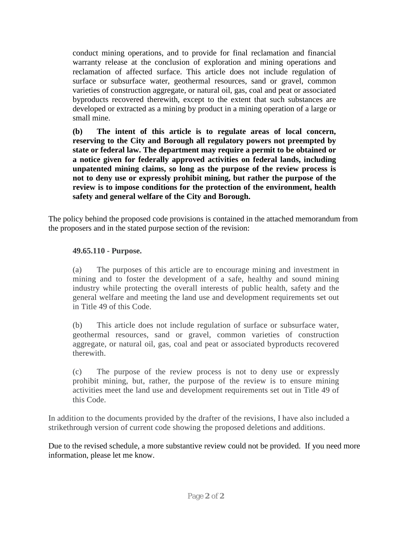conduct mining operations, and to provide for final reclamation and financial warranty release at the conclusion of exploration and mining operations and reclamation of affected surface. This article does not include regulation of surface or subsurface water, geothermal resources, sand or gravel, common varieties of construction aggregate, or natural oil, gas, coal and peat or associated byproducts recovered therewith, except to the extent that such substances are developed or extracted as a mining by product in a mining operation of a large or small mine.

**(b) The intent of this article is to regulate areas of local concern, reserving to the City and Borough all regulatory powers not preempted by state or federal law. The department may require a permit to be obtained or a notice given for federally approved activities on federal lands, including unpatented mining claims, so long as the purpose of the review process is not to deny use or expressly prohibit mining, but rather the purpose of the review is to impose conditions for the protection of the environment, health safety and general welfare of the City and Borough.**

The policy behind the proposed code provisions is contained in the attached memorandum from the proposers and in the stated purpose section of the revision:

# **49.65.110 - Purpose.**

(a) The purposes of this article are to encourage mining and investment in mining and to foster the development of a safe, healthy and sound mining industry while protecting the overall interests of public health, safety and the general welfare and meeting the land use and development requirements set out in Title 49 of this Code.

(b) This article does not include regulation of surface or subsurface water, geothermal resources, sand or gravel, common varieties of construction aggregate, or natural oil, gas, coal and peat or associated byproducts recovered therewith.

(c) The purpose of the review process is not to deny use or expressly prohibit mining, but, rather, the purpose of the review is to ensure mining activities meet the land use and development requirements set out in Title 49 of this Code.

In addition to the documents provided by the drafter of the revisions, I have also included a strikethrough version of current code showing the proposed deletions and additions.

Due to the revised schedule, a more substantive review could not be provided. If you need more information, please let me know.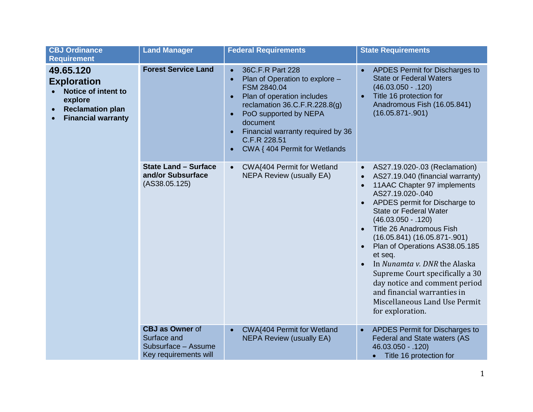| <b>CBJ Ordinance</b><br><b>Requirement</b>                                                                                | <b>Land Manager</b>                                                                   | <b>Federal Requirements</b>                                                                                                                                                                                                                                                                                                    | <b>State Requirements</b>                                                                                                                                                                                                                                                                                                                                                                                                                                                                                                                                                         |
|---------------------------------------------------------------------------------------------------------------------------|---------------------------------------------------------------------------------------|--------------------------------------------------------------------------------------------------------------------------------------------------------------------------------------------------------------------------------------------------------------------------------------------------------------------------------|-----------------------------------------------------------------------------------------------------------------------------------------------------------------------------------------------------------------------------------------------------------------------------------------------------------------------------------------------------------------------------------------------------------------------------------------------------------------------------------------------------------------------------------------------------------------------------------|
| 49.65.120<br><b>Exploration</b><br>Notice of intent to<br>explore<br><b>Reclamation plan</b><br><b>Financial warranty</b> | <b>Forest Service Land</b>                                                            | 36C.F.R Part 228<br>$\bullet$<br>Plan of Operation to explore -<br>$\bullet$<br>FSM 2840.04<br>Plan of operation includes<br>$\bullet$<br>reclamation $36.C.F.R.228.8(g)$<br>PoO supported by NEPA<br>$\bullet$<br>document<br>Financial warranty required by 36<br>$\bullet$<br>C.F.R 228.51<br>CWA { 404 Permit for Wetlands | APDES Permit for Discharges to<br><b>State or Federal Waters</b><br>$(46.03.050 - 120)$<br>Title 16 protection for<br>$\bullet$<br>Anadromous Fish (16.05.841)<br>$(16.05.871 - 901)$                                                                                                                                                                                                                                                                                                                                                                                             |
|                                                                                                                           | <b>State Land - Surface</b><br>and/or Subsurface<br>(AS38.05.125)                     | CWA{404 Permit for Wetland<br>$\bullet$<br><b>NEPA Review (usually EA)</b>                                                                                                                                                                                                                                                     | AS27.19.020-.03 (Reclamation)<br>$\bullet$<br>AS27.19.040 (financial warranty)<br>$\bullet$<br>11AAC Chapter 97 implements<br>AS27.19.020-.040<br>APDES permit for Discharge to<br>$\bullet$<br><b>State or Federal Water</b><br>$(46.03.050 - 120)$<br>Title 26 Anadromous Fish<br>$\bullet$<br>$(16.05.841) (16.05.871-.901)$<br>Plan of Operations AS38.05.185<br>$\bullet$<br>et seq.<br>In Nunamta v. DNR the Alaska<br>Supreme Court specifically a 30<br>day notice and comment period<br>and financial warranties in<br>Miscellaneous Land Use Permit<br>for exploration. |
|                                                                                                                           | <b>CBJ as Owner of</b><br>Surface and<br>Subsurface - Assume<br>Key requirements will | CWA{404 Permit for Wetland<br>$\bullet$<br><b>NEPA Review (usually EA)</b>                                                                                                                                                                                                                                                     | APDES Permit for Discharges to<br>$\bullet$<br>Federal and State waters (AS<br>46.03.050 - .120)<br>• Title 16 protection for                                                                                                                                                                                                                                                                                                                                                                                                                                                     |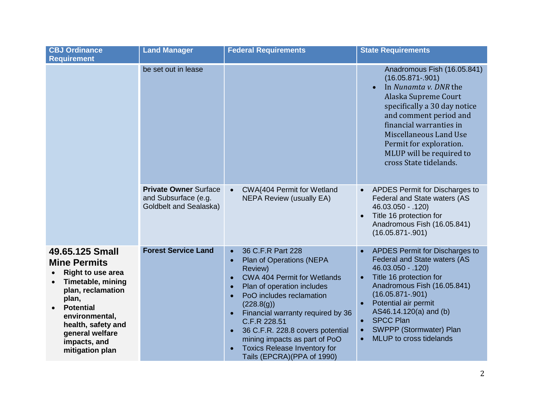| <b>CBJ Ordinance</b><br><b>Requirement</b>                                                                                                                                                                                              | <b>Land Manager</b>                                                            | <b>Federal Requirements</b>                                                                                                                                                                                                                                                                                                                                                                                                                                      | <b>State Requirements</b>                                                                                                                                                                                                                                                                                                                                            |
|-----------------------------------------------------------------------------------------------------------------------------------------------------------------------------------------------------------------------------------------|--------------------------------------------------------------------------------|------------------------------------------------------------------------------------------------------------------------------------------------------------------------------------------------------------------------------------------------------------------------------------------------------------------------------------------------------------------------------------------------------------------------------------------------------------------|----------------------------------------------------------------------------------------------------------------------------------------------------------------------------------------------------------------------------------------------------------------------------------------------------------------------------------------------------------------------|
|                                                                                                                                                                                                                                         | be set out in lease                                                            |                                                                                                                                                                                                                                                                                                                                                                                                                                                                  | Anadromous Fish (16.05.841)<br>$(16.05.871 - .901)$<br>In Nunamta v. DNR the<br>Alaska Supreme Court<br>specifically a 30 day notice<br>and comment period and<br>financial warranties in<br>Miscellaneous Land Use<br>Permit for exploration.<br>MLUP will be required to<br>cross State tidelands.                                                                 |
|                                                                                                                                                                                                                                         | <b>Private Owner Surface</b><br>and Subsurface (e.g.<br>Goldbelt and Sealaska) | CWA{404 Permit for Wetland<br>$\bullet$<br><b>NEPA Review (usually EA)</b>                                                                                                                                                                                                                                                                                                                                                                                       | APDES Permit for Discharges to<br>$\bullet$<br>Federal and State waters (AS<br>46.03.050 - .120)<br>Title 16 protection for<br>$\bullet$<br>Anadromous Fish (16.05.841)<br>$(16.05.871 - .901)$                                                                                                                                                                      |
| 49.65.125 Small<br><b>Mine Permits</b><br><b>Right to use area</b><br>Timetable, mining<br>plan, reclamation<br>plan,<br><b>Potential</b><br>environmental,<br>health, safety and<br>general welfare<br>impacts, and<br>mitigation plan | <b>Forest Service Land</b>                                                     | 36 C.F.R Part 228<br>$\bullet$<br>Plan of Operations (NEPA<br>$\bullet$<br>Review)<br><b>CWA 404 Permit for Wetlands</b><br>$\bullet$<br>Plan of operation includes<br>$\bullet$<br>PoO includes reclamation<br>$\bullet$<br>(228.8(g))<br>Financial warranty required by 36<br>$\bullet$<br>C.F.R 228.51<br>36 C.F.R. 228.8 covers potential<br>$\bullet$<br>mining impacts as part of PoO<br><b>Toxics Release Inventory for</b><br>Tails (EPCRA)(PPA of 1990) | APDES Permit for Discharges to<br>$\bullet$<br>Federal and State waters (AS<br>$46.03.050 - 0.120$<br>Title 16 protection for<br>$\bullet$<br>Anadromous Fish (16.05.841)<br>$(16.05.871 - .901)$<br>Potential air permit<br>AS46.14.120(a) and (b)<br><b>SPCC Plan</b><br>$\bullet$<br>SWPPP (Stormwater) Plan<br>$\bullet$<br>MLUP to cross tidelands<br>$\bullet$ |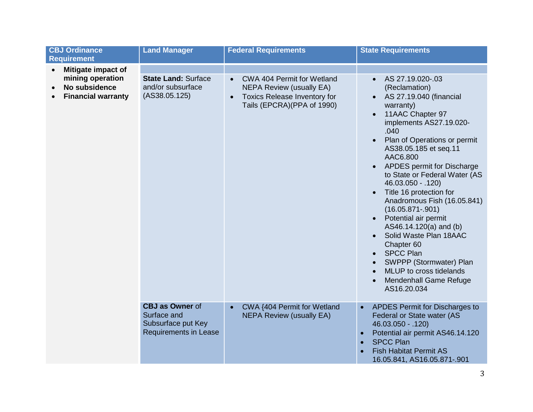| <b>CBJ Ordinance</b><br><b>Requirement</b>                                                        | <b>Land Manager</b>                                                                         | <b>Federal Requirements</b>                                                                                                                                         | <b>State Requirements</b>                                                                                                                                                                                                                                                                                                                                                                                                                                                                                                                                                                                                                                       |
|---------------------------------------------------------------------------------------------------|---------------------------------------------------------------------------------------------|---------------------------------------------------------------------------------------------------------------------------------------------------------------------|-----------------------------------------------------------------------------------------------------------------------------------------------------------------------------------------------------------------------------------------------------------------------------------------------------------------------------------------------------------------------------------------------------------------------------------------------------------------------------------------------------------------------------------------------------------------------------------------------------------------------------------------------------------------|
| Mitigate impact of<br>$\bullet$<br>mining operation<br>No subsidence<br><b>Financial warranty</b> | <b>State Land: Surface</b><br>and/or subsurface<br>(AS38.05.125)                            | <b>CWA 404 Permit for Wetland</b><br>$\bullet$<br><b>NEPA Review (usually EA)</b><br><b>Toxics Release Inventory for</b><br>$\bullet$<br>Tails (EPCRA)(PPA of 1990) | AS 27.19.020-.03<br>(Reclamation)<br>AS 27.19.040 (financial<br>warranty)<br>11AAC Chapter 97<br>implements AS27.19.020-<br>.040<br>Plan of Operations or permit<br>$\bullet$<br>AS38.05.185 et seq.11<br>AAC6.800<br>APDES permit for Discharge<br>$\bullet$<br>to State or Federal Water (AS<br>46.03.050 - .120)<br>Title 16 protection for<br>$\bullet$<br>Anadromous Fish (16.05.841)<br>$(16.05.871 - 901)$<br>Potential air permit<br>$\bullet$<br>AS46.14.120(a) and (b)<br>Solid Waste Plan 18AAC<br>Chapter 60<br><b>SPCC Plan</b><br>$\bullet$<br>SWPPP (Stormwater) Plan<br>MLUP to cross tidelands<br><b>Mendenhall Game Refuge</b><br>AS16.20.034 |
|                                                                                                   | <b>CBJ as Owner of</b><br>Surface and<br>Subsurface put Key<br><b>Requirements in Lease</b> | CWA {404 Permit for Wetland<br><b>NEPA Review (usually EA)</b>                                                                                                      | APDES Permit for Discharges to<br>$\bullet$<br>Federal or State water (AS<br>$46.03.050 - .120$<br>Potential air permit AS46.14.120<br>$\bullet$<br><b>SPCC Plan</b><br>$\bullet$<br><b>Fish Habitat Permit AS</b><br>$\bullet$<br>16.05.841, AS16.05.871-.901                                                                                                                                                                                                                                                                                                                                                                                                  |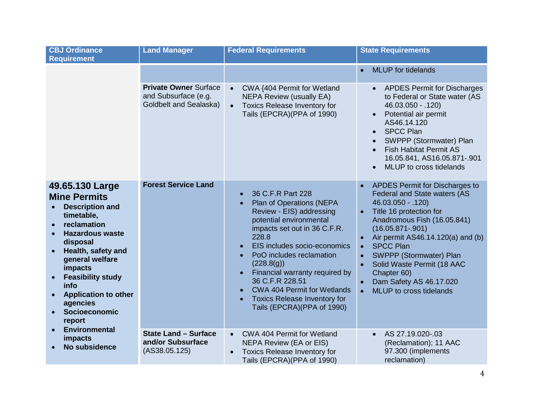| <b>CBJ Ordinance</b><br><b>Requirement</b>                                                                                                                                                                                                                                                                                                                         | <b>Land Manager</b>                                                                   | <b>Federal Requirements</b>                                                                                                                                                                                                                                                                                                                                                                                                    | <b>State Requirements</b>                                                                                                                                                                                                                                                                                                                                                                           |
|--------------------------------------------------------------------------------------------------------------------------------------------------------------------------------------------------------------------------------------------------------------------------------------------------------------------------------------------------------------------|---------------------------------------------------------------------------------------|--------------------------------------------------------------------------------------------------------------------------------------------------------------------------------------------------------------------------------------------------------------------------------------------------------------------------------------------------------------------------------------------------------------------------------|-----------------------------------------------------------------------------------------------------------------------------------------------------------------------------------------------------------------------------------------------------------------------------------------------------------------------------------------------------------------------------------------------------|
|                                                                                                                                                                                                                                                                                                                                                                    |                                                                                       |                                                                                                                                                                                                                                                                                                                                                                                                                                | <b>MLUP</b> for tidelands                                                                                                                                                                                                                                                                                                                                                                           |
|                                                                                                                                                                                                                                                                                                                                                                    | <b>Private Owner Surface</b><br>and Subsurface (e.g.<br><b>Goldbelt and Sealaska)</b> | CWA {404 Permit for Wetland<br>$\bullet$<br><b>NEPA Review (usually EA)</b><br>Toxics Release Inventory for<br>$\bullet$<br>Tails (EPCRA)(PPA of 1990)                                                                                                                                                                                                                                                                         | <b>APDES Permit for Discharges</b><br>to Federal or State water (AS<br>46.03.050 - .120)<br>Potential air permit<br>$\bullet$<br>AS46.14.120<br><b>SPCC Plan</b><br>$\bullet$<br>SWPPP (Stormwater) Plan<br><b>Fish Habitat Permit AS</b><br>16.05.841, AS16.05.871-.901<br>MLUP to cross tidelands<br>$\bullet$                                                                                    |
| 49.65.130 Large<br><b>Mine Permits</b><br><b>Description and</b><br>timetable,<br>reclamation<br><b>Hazardous waste</b><br>disposal<br>Health, safety and<br>general welfare<br>impacts<br><b>Feasibility study</b><br>$\bullet$<br>info<br><b>Application to other</b><br>agencies<br>Socioeconomic<br>report<br><b>Environmental</b><br>impacts<br>No subsidence | <b>Forest Service Land</b>                                                            | 36 C.F.R Part 228<br>$\bullet$<br>Plan of Operations (NEPA<br>Review - EIS) addressing<br>potential environmental<br>impacts set out in 36 C.F.R.<br>228.8<br>EIS includes socio-economics<br>PoO includes reclamation<br>(228.8(g))<br>Financial warranty required by<br>$\bullet$<br>36 C.F.R 228.51<br><b>CWA 404 Permit for Wetlands</b><br><b>Toxics Release Inventory for</b><br>$\bullet$<br>Tails (EPCRA)(PPA of 1990) | APDES Permit for Discharges to<br>Federal and State waters (AS<br>46.03.050 - .120)<br>Title 16 protection for<br>Anadromous Fish (16.05.841)<br>$(16.05.871 - .901)$<br>Air permit AS46.14.120(a) and (b)<br><b>SPCC Plan</b><br>$\bullet$<br>SWPPP (Stormwater) Plan<br>$\bullet$<br>Solid Waste Permit (18 AAC<br>Chapter 60)<br>Dam Safety AS 46.17.020<br>MLUP to cross tidelands<br>$\bullet$ |
|                                                                                                                                                                                                                                                                                                                                                                    | <b>State Land - Surface</b><br>and/or Subsurface<br>(AS38.05.125)                     | CWA 404 Permit for Wetland<br>$\bullet$<br><b>NEPA Review (EA or EIS)</b><br><b>Toxics Release Inventory for</b><br>$\bullet$<br>Tails (EPCRA) (PPA of 1990)                                                                                                                                                                                                                                                                   | AS 27.19.020-.03<br>$\bullet$<br>(Reclamation); 11 AAC<br>97.300 (implements<br>reclamation)                                                                                                                                                                                                                                                                                                        |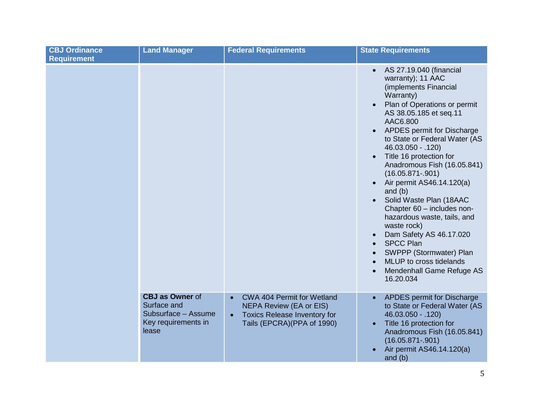| <b>CBJ Ordinance</b><br><b>Requirement</b> | <b>Land Manager</b>                                                                          | <b>Federal Requirements</b>                                                                                                                                 | <b>State Requirements</b>                                                                                                                                                                                                                                                                                                                                                                                                                                                                                                                                                                                                                                                                                    |
|--------------------------------------------|----------------------------------------------------------------------------------------------|-------------------------------------------------------------------------------------------------------------------------------------------------------------|--------------------------------------------------------------------------------------------------------------------------------------------------------------------------------------------------------------------------------------------------------------------------------------------------------------------------------------------------------------------------------------------------------------------------------------------------------------------------------------------------------------------------------------------------------------------------------------------------------------------------------------------------------------------------------------------------------------|
|                                            |                                                                                              |                                                                                                                                                             | AS 27.19.040 (financial<br>warranty); 11 AAC<br>(implements Financial<br>Warranty)<br>Plan of Operations or permit<br>AS 38.05.185 et seq.11<br>AAC6.800<br>APDES permit for Discharge<br>$\bullet$<br>to State or Federal Water (AS<br>46.03.050 - .120)<br>Title 16 protection for<br>$\bullet$<br>Anadromous Fish (16.05.841)<br>$(16.05.871 - .901)$<br>Air permit AS46.14.120(a)<br>$\bullet$<br>and $(b)$<br>Solid Waste Plan (18AAC<br>Chapter 60 - includes non-<br>hazardous waste, tails, and<br>waste rock)<br>Dam Safety AS 46.17.020<br>$\bullet$<br><b>SPCC Plan</b><br>$\bullet$<br>SWPPP (Stormwater) Plan<br>MLUP to cross tidelands<br>Mendenhall Game Refuge AS<br>$\bullet$<br>16.20.034 |
|                                            | <b>CBJ as Owner of</b><br>Surface and<br>Subsurface - Assume<br>Key requirements in<br>lease | CWA 404 Permit for Wetland<br>$\bullet$<br><b>NEPA Review (EA or EIS)</b><br><b>Toxics Release Inventory for</b><br>$\bullet$<br>Tails (EPCRA)(PPA of 1990) | <b>APDES</b> permit for Discharge<br>to State or Federal Water (AS<br>46.03.050 - .120)<br>Title 16 protection for<br>$\bullet$<br>Anadromous Fish (16.05.841)<br>$(16.05.871 - .901)$<br>Air permit AS46.14.120(a)<br>and $(b)$                                                                                                                                                                                                                                                                                                                                                                                                                                                                             |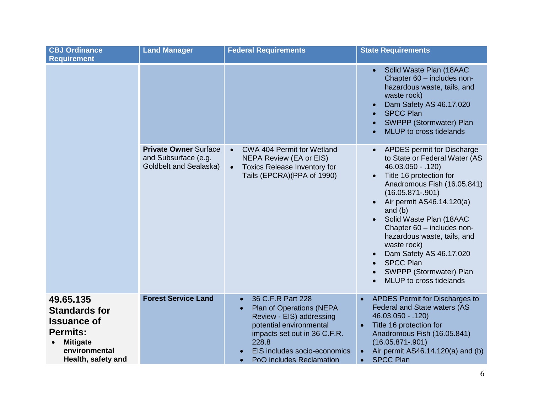| <b>CBJ Ordinance</b><br><b>Requirement</b>                                                                                           | <b>Land Manager</b>                                                                   | <b>Federal Requirements</b>                                                                                                                                                                                                         | <b>State Requirements</b>                                                                                                                                                                                                                                                                                                                                                                                                                                       |
|--------------------------------------------------------------------------------------------------------------------------------------|---------------------------------------------------------------------------------------|-------------------------------------------------------------------------------------------------------------------------------------------------------------------------------------------------------------------------------------|-----------------------------------------------------------------------------------------------------------------------------------------------------------------------------------------------------------------------------------------------------------------------------------------------------------------------------------------------------------------------------------------------------------------------------------------------------------------|
|                                                                                                                                      |                                                                                       |                                                                                                                                                                                                                                     | Solid Waste Plan (18AAC<br>Chapter 60 - includes non-<br>hazardous waste, tails, and<br>waste rock)<br>Dam Safety AS 46.17.020<br><b>SPCC Plan</b><br>SWPPP (Stormwater) Plan<br><b>MLUP</b> to cross tidelands                                                                                                                                                                                                                                                 |
|                                                                                                                                      | <b>Private Owner Surface</b><br>and Subsurface (e.g.<br><b>Goldbelt and Sealaska)</b> | CWA 404 Permit for Wetland<br>$\bullet$<br><b>NEPA Review (EA or EIS)</b><br><b>Toxics Release Inventory for</b><br>$\bullet$<br>Tails (EPCRA)(PPA of 1990)                                                                         | APDES permit for Discharge<br>$\bullet$<br>to State or Federal Water (AS<br>46.03.050 - .120)<br>Title 16 protection for<br>$\bullet$<br>Anadromous Fish (16.05.841)<br>$(16.05.871 - .901)$<br>Air permit AS46.14.120(a)<br>and $(b)$<br>Solid Waste Plan (18AAC<br>Chapter 60 - includes non-<br>hazardous waste, tails, and<br>waste rock)<br>Dam Safety AS 46.17.020<br>$\bullet$<br><b>SPCC Plan</b><br>SWPPP (Stormwater) Plan<br>MLUP to cross tidelands |
| 49.65.135<br><b>Standards for</b><br><b>Issuance of</b><br><b>Permits:</b><br><b>Mitigate</b><br>environmental<br>Health, safety and | <b>Forest Service Land</b>                                                            | 36 C.F.R Part 228<br>$\bullet$<br>Plan of Operations (NEPA<br>$\bullet$<br>Review - EIS) addressing<br>potential environmental<br>impacts set out in 36 C.F.R.<br>228.8<br>EIS includes socio-economics<br>PoO includes Reclamation | APDES Permit for Discharges to<br>$\bullet$<br>Federal and State waters (AS<br>46.03.050 - .120)<br>Title 16 protection for<br>$\bullet$<br>Anadromous Fish (16.05.841)<br>$(16.05.871 - .901)$<br>Air permit AS46.14.120(a) and (b)<br><b>SPCC Plan</b><br>$\bullet$                                                                                                                                                                                           |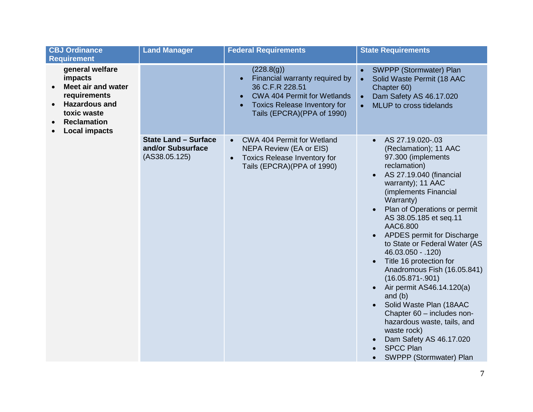| <b>CBJ Ordinance</b><br><b>Requirement</b>                                                                                                                                             | <b>Land Manager</b>                                               | <b>Federal Requirements</b>                                                                                                                                                                                       | <b>State Requirements</b>                                                                                                                                                                                                                                                                                                                                                                                                                                                                                                                                                                                                                                                                                                 |
|----------------------------------------------------------------------------------------------------------------------------------------------------------------------------------------|-------------------------------------------------------------------|-------------------------------------------------------------------------------------------------------------------------------------------------------------------------------------------------------------------|---------------------------------------------------------------------------------------------------------------------------------------------------------------------------------------------------------------------------------------------------------------------------------------------------------------------------------------------------------------------------------------------------------------------------------------------------------------------------------------------------------------------------------------------------------------------------------------------------------------------------------------------------------------------------------------------------------------------------|
| general welfare<br>impacts<br><b>Meet air and water</b><br>$\bullet$<br>requirements<br><b>Hazardous and</b><br>$\bullet$<br>toxic waste<br><b>Reclamation</b><br><b>Local impacts</b> |                                                                   | (228.8(g))<br>Financial warranty required by<br>$\bullet$<br>36 C.F.R 228.51<br><b>CWA 404 Permit for Wetlands</b><br>$\bullet$<br><b>Toxics Release Inventory for</b><br>$\bullet$<br>Tails (EPCRA)(PPA of 1990) | SWPPP (Stormwater) Plan<br>Solid Waste Permit (18 AAC<br>$\bullet$<br>Chapter 60)<br>Dam Safety AS 46.17.020<br>$\bullet$<br>MLUP to cross tidelands<br>$\bullet$                                                                                                                                                                                                                                                                                                                                                                                                                                                                                                                                                         |
|                                                                                                                                                                                        | <b>State Land - Surface</b><br>and/or Subsurface<br>(AS38.05.125) | CWA 404 Permit for Wetland<br>$\bullet$<br><b>NEPA Review (EA or EIS)</b><br><b>Toxics Release Inventory for</b><br>$\bullet$<br>Tails (EPCRA)(PPA of 1990)                                                       | AS 27.19.020-.03<br>(Reclamation); 11 AAC<br>97.300 (implements<br>reclamation)<br>AS 27.19.040 (financial<br>$\bullet$<br>warranty); 11 AAC<br>(implements Financial<br>Warranty)<br>Plan of Operations or permit<br>$\bullet$<br>AS 38.05.185 et seq.11<br>AAC6.800<br>APDES permit for Discharge<br>$\bullet$<br>to State or Federal Water (AS<br>46.03.050 - .120)<br>Title 16 protection for<br>$\bullet$<br>Anadromous Fish (16.05.841)<br>$(16.05.871 - 901)$<br>Air permit AS46.14.120(a)<br>$\bullet$<br>and $(b)$<br>Solid Waste Plan (18AAC<br>Chapter 60 - includes non-<br>hazardous waste, tails, and<br>waste rock)<br>Dam Safety AS 46.17.020<br>$\bullet$<br><b>SPCC Plan</b><br>SWPPP (Stormwater) Plan |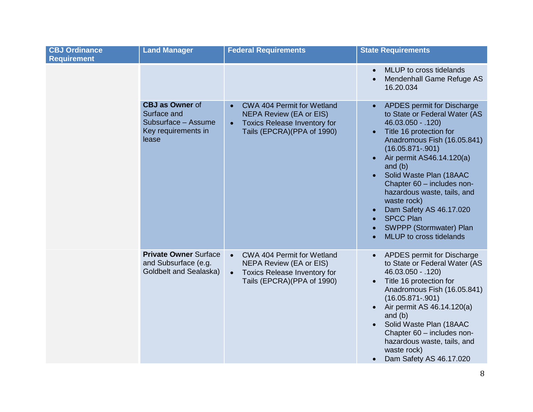| <b>CBJ Ordinance</b><br><b>Requirement</b> | <b>Land Manager</b>                                                                          | <b>Federal Requirements</b>                                                                                                                                        | <b>State Requirements</b>                                                                                                                                                                                                                                                                                                                                                                                                                                       |
|--------------------------------------------|----------------------------------------------------------------------------------------------|--------------------------------------------------------------------------------------------------------------------------------------------------------------------|-----------------------------------------------------------------------------------------------------------------------------------------------------------------------------------------------------------------------------------------------------------------------------------------------------------------------------------------------------------------------------------------------------------------------------------------------------------------|
|                                            |                                                                                              |                                                                                                                                                                    | MLUP to cross tidelands<br>$\bullet$<br>Mendenhall Game Refuge AS<br>$\bullet$<br>16.20.034                                                                                                                                                                                                                                                                                                                                                                     |
|                                            | <b>CBJ as Owner of</b><br>Surface and<br>Subsurface - Assume<br>Key requirements in<br>lease | <b>CWA 404 Permit for Wetland</b><br>$\bullet$<br><b>NEPA Review (EA or EIS)</b><br><b>Toxics Release Inventory for</b><br>$\bullet$<br>Tails (EPCRA)(PPA of 1990) | APDES permit for Discharge<br>$\bullet$<br>to State or Federal Water (AS<br>46.03.050 - .120)<br>Title 16 protection for<br>$\bullet$<br>Anadromous Fish (16.05.841)<br>$(16.05.871 - .901)$<br>Air permit AS46.14.120(a)<br>$\bullet$<br>and $(b)$<br>Solid Waste Plan (18AAC<br>Chapter 60 - includes non-<br>hazardous waste, tails, and<br>waste rock)<br>Dam Safety AS 46.17.020<br><b>SPCC Plan</b><br>SWPPP (Stormwater) Plan<br>MLUP to cross tidelands |
|                                            | <b>Private Owner Surface</b><br>and Subsurface (e.g.<br>Goldbelt and Sealaska)               | CWA 404 Permit for Wetland<br>$\bullet$<br><b>NEPA Review (EA or EIS)</b><br><b>Toxics Release Inventory for</b><br>$\bullet$<br>Tails (EPCRA)(PPA of 1990)        | APDES permit for Discharge<br>$\bullet$<br>to State or Federal Water (AS<br>46.03.050 - .120)<br>Title 16 protection for<br>$\bullet$<br>Anadromous Fish (16.05.841)<br>$(16.05.871 - .901)$<br>Air permit AS 46.14.120(a)<br>$\bullet$<br>and $(b)$<br>Solid Waste Plan (18AAC<br>Chapter 60 - includes non-<br>hazardous waste, tails, and<br>waste rock)<br>Dam Safety AS 46.17.020<br>$\bullet$                                                             |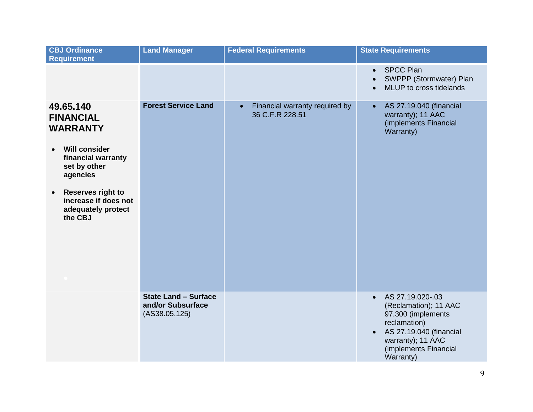| <b>CBJ Ordinance</b><br><b>Requirement</b>                                                                                              | <b>Land Manager</b>                                               | <b>Federal Requirements</b>                                    | <b>State Requirements</b>                                                                                                                                                                       |
|-----------------------------------------------------------------------------------------------------------------------------------------|-------------------------------------------------------------------|----------------------------------------------------------------|-------------------------------------------------------------------------------------------------------------------------------------------------------------------------------------------------|
|                                                                                                                                         |                                                                   |                                                                | <b>SPCC Plan</b><br>$\bullet$<br>SWPPP (Stormwater) Plan<br>MLUP to cross tidelands                                                                                                             |
| 49.65.140<br><b>FINANCIAL</b><br><b>WARRANTY</b><br><b>Will consider</b><br>$\bullet$<br>financial warranty<br>set by other<br>agencies | <b>Forest Service Land</b>                                        | Financial warranty required by<br>$\bullet$<br>36 C.F.R 228.51 | AS 27.19.040 (financial<br>$\bullet$<br>warranty); 11 AAC<br>(implements Financial<br>Warranty)                                                                                                 |
| <b>Reserves right to</b><br>$\bullet$<br>increase if does not<br>adequately protect<br>the CBJ                                          |                                                                   |                                                                |                                                                                                                                                                                                 |
|                                                                                                                                         | <b>State Land - Surface</b><br>and/or Subsurface<br>(AS38.05.125) |                                                                | AS 27.19.020-.03<br>$\bullet$<br>(Reclamation); 11 AAC<br>97.300 (implements<br>reclamation)<br>AS 27.19.040 (financial<br>$\bullet$<br>warranty); 11 AAC<br>(implements Financial<br>Warranty) |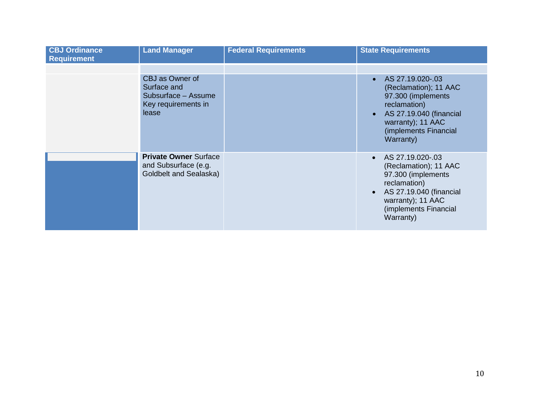| <b>CBJ Ordinance</b><br><b>Requirement</b> | <b>Land Manager</b>                                                                   | <b>Federal Requirements</b> | <b>State Requirements</b>                                                                                                                                                                       |
|--------------------------------------------|---------------------------------------------------------------------------------------|-----------------------------|-------------------------------------------------------------------------------------------------------------------------------------------------------------------------------------------------|
|                                            | CBJ as Owner of<br>Surface and<br>Subsurface - Assume<br>Key requirements in<br>lease |                             | • AS $27.19.020 - .03$<br>(Reclamation); 11 AAC<br>97.300 (implements<br>reclamation)<br>AS 27.19.040 (financial<br>warranty); 11 AAC<br>(implements Financial<br>Warranty)                     |
|                                            | <b>Private Owner Surface</b><br>and Subsurface (e.g.<br>Goldbelt and Sealaska)        |                             | AS 27.19.020-.03<br>$\bullet$<br>(Reclamation); 11 AAC<br>97.300 (implements<br>reclamation)<br>AS 27.19.040 (financial<br>$\bullet$<br>warranty); 11 AAC<br>(implements Financial<br>Warranty) |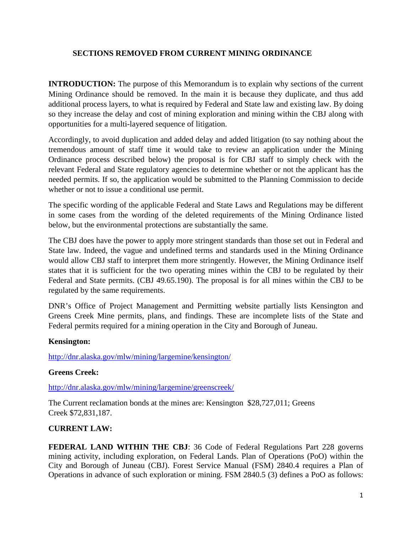### **SECTIONS REMOVED FROM CURRENT MINING ORDINANCE**

**INTRODUCTION:** The purpose of this Memorandum is to explain why sections of the current Mining Ordinance should be removed. In the main it is because they duplicate, and thus add additional process layers, to what is required by Federal and State law and existing law. By doing so they increase the delay and cost of mining exploration and mining within the CBJ along with opportunities for a multi-layered sequence of litigation.

Accordingly, to avoid duplication and added delay and added litigation (to say nothing about the tremendous amount of staff time it would take to review an application under the Mining Ordinance process described below) the proposal is for CBJ staff to simply check with the relevant Federal and State regulatory agencies to determine whether or not the applicant has the needed permits. If so, the application would be submitted to the Planning Commission to decide whether or not to issue a conditional use permit.

The specific wording of the applicable Federal and State Laws and Regulations may be different in some cases from the wording of the deleted requirements of the Mining Ordinance listed below, but the environmental protections are substantially the same.

The CBJ does have the power to apply more stringent standards than those set out in Federal and State law. Indeed, the vague and undefined terms and standards used in the Mining Ordinance would allow CBJ staff to interpret them more stringently. However, the Mining Ordinance itself states that it is sufficient for the two operating mines within the CBJ to be regulated by their Federal and State permits. (CBJ 49.65.190). The proposal is for all mines within the CBJ to be regulated by the same requirements.

DNR's Office of Project Management and Permitting website partially lists Kensington and Greens Creek Mine permits, plans, and findings. These are incomplete lists of the State and Federal permits required for a mining operation in the City and Borough of Juneau.

#### **Kensington:**

<http://dnr.alaska.gov/mlw/mining/largemine/kensington/>

# **Greens Creek:**

<http://dnr.alaska.gov/mlw/mining/largemine/greenscreek/>

The Current reclamation bonds at the mines are: Kensington \$28,727,011; Greens Creek \$72,831,187.

# **CURRENT LAW:**

**FEDERAL LAND WITHIN THE CBJ**: 36 Code of Federal Regulations Part 228 governs mining activity, including exploration, on Federal Lands. Plan of Operations (PoO) within the City and Borough of Juneau (CBJ). Forest Service Manual (FSM) 2840.4 requires a Plan of Operations in advance of such exploration or mining. FSM 2840.5 (3) defines a PoO as follows: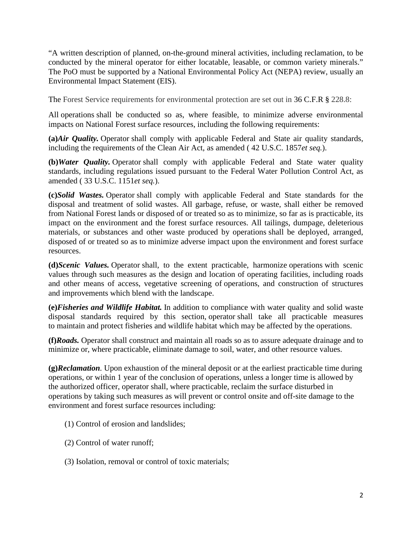"A written description of planned, on-the-ground mineral activities, including reclamation, to be conducted by the mineral operator for either locatable, leasable, or common variety minerals." The PoO must be supported by a National Environmental Policy Act (NEPA) review, usually an Environmental Impact Statement (EIS).

The Forest Service requirements for environmental protection are set out in 36 C.F.R **§** 228.8:

All [operations](https://www.law.cornell.edu/definitions/index.php?width=840&height=800&iframe=true&def_id=e557bb96de5351bc3f210ae2886a88f9&term_occur=1&term_src=Title:36:Chapter:II:Part:228:Subpart:A:228.8) shall be conducted so as, where feasible, to minimize adverse environmental impacts on National Forest surface resources, including the following requirements:

**(a)***Air Quality.* [Operator](https://www.law.cornell.edu/definitions/index.php?width=840&height=800&iframe=true&def_id=407725b60d6c70b12c06c52325f7ea61&term_occur=1&term_src=Title:36:Chapter:II:Part:228:Subpart:A:228.8) shall comply with applicable Federal and State air quality standards, including the requirements of the Clean Air Act, as amended ( [42 U.S.C. 1857](https://www.law.cornell.edu/uscode/text/42/1857)*et seq.*).

**(b)***Water Quality.* [Operator](https://www.law.cornell.edu/definitions/index.php?width=840&height=800&iframe=true&def_id=407725b60d6c70b12c06c52325f7ea61&term_occur=2&term_src=Title:36:Chapter:II:Part:228:Subpart:A:228.8) shall comply with applicable Federal and State water quality standards, including regulations issued pursuant to the Federal Water Pollution Control Act, as amended ( [33 U.S.C. 1151](https://www.law.cornell.edu/uscode/text/33/1151)*et seq.*).

**(c)***Solid Wastes.* [Operator](https://www.law.cornell.edu/definitions/index.php?width=840&height=800&iframe=true&def_id=407725b60d6c70b12c06c52325f7ea61&term_occur=3&term_src=Title:36:Chapter:II:Part:228:Subpart:A:228.8) shall comply with applicable Federal and State standards for the disposal and treatment of solid wastes. All garbage, refuse, or waste, shall either be removed from National [Forest lands](https://www.law.cornell.edu/definitions/index.php?width=840&height=800&iframe=true&def_id=40f1e3db0667bbff470f2b1b0e88568c&term_occur=1&term_src=Title:36:Chapter:II:Part:228:Subpart:A:228.8) or disposed of or treated so as to minimize, so far as is practicable, its impact on the environment and the forest surface resources. All tailings, dumpage, deleterious materials, or substances and other waste produced by [operations](https://www.law.cornell.edu/definitions/index.php?width=840&height=800&iframe=true&def_id=e557bb96de5351bc3f210ae2886a88f9&term_occur=2&term_src=Title:36:Chapter:II:Part:228:Subpart:A:228.8) shall be deployed, arranged, disposed of or treated so as to minimize adverse impact upon the environment and forest surface resources.

**(d)***Scenic Values.* [Operator](https://www.law.cornell.edu/definitions/index.php?width=840&height=800&iframe=true&def_id=407725b60d6c70b12c06c52325f7ea61&term_occur=4&term_src=Title:36:Chapter:II:Part:228:Subpart:A:228.8) shall, to the extent practicable, harmonize [operations](https://www.law.cornell.edu/definitions/index.php?width=840&height=800&iframe=true&def_id=e557bb96de5351bc3f210ae2886a88f9&term_occur=3&term_src=Title:36:Chapter:II:Part:228:Subpart:A:228.8) with scenic values through such measures as the design and location of operating facilities, including roads and other means of access, vegetative screening of [operations,](https://www.law.cornell.edu/definitions/index.php?width=840&height=800&iframe=true&def_id=e557bb96de5351bc3f210ae2886a88f9&term_occur=4&term_src=Title:36:Chapter:II:Part:228:Subpart:A:228.8) and construction of structures and [improvements](https://www.law.cornell.edu/definitions/index.php?width=840&height=800&iframe=true&def_id=dfe87d93b53f0c4f9f0d92eddc6f2c96&term_occur=1&term_src=Title:36:Chapter:II:Part:228:Subpart:A:228.8) which blend with the [landscape.](https://www.law.cornell.edu/definitions/index.php?width=840&height=800&iframe=true&def_id=a5bf93efd8e0df3f22bfdc9e2f3f62f4&term_occur=1&term_src=Title:36:Chapter:II:Part:228:Subpart:A:228.8)

**(e)***Fisheries and Wildlife Habitat.* In addition to compliance with water quality and solid waste disposal standards required by this section, [operator](https://www.law.cornell.edu/definitions/index.php?width=840&height=800&iframe=true&def_id=407725b60d6c70b12c06c52325f7ea61&term_occur=5&term_src=Title:36:Chapter:II:Part:228:Subpart:A:228.8) shall take all practicable measures to [maintain](https://www.law.cornell.edu/definitions/index.php?width=840&height=800&iframe=true&def_id=299407628695b5df36815dc43c10f758&term_occur=1&term_src=Title:36:Chapter:II:Part:228:Subpart:A:228.8) and protect fisheries and wildlife habitat which may be affected by the [operations.](https://www.law.cornell.edu/definitions/index.php?width=840&height=800&iframe=true&def_id=e557bb96de5351bc3f210ae2886a88f9&term_occur=5&term_src=Title:36:Chapter:II:Part:228:Subpart:A:228.8)

**(f)***Roads.* [Operator](https://www.law.cornell.edu/definitions/index.php?width=840&height=800&iframe=true&def_id=407725b60d6c70b12c06c52325f7ea61&term_occur=6&term_src=Title:36:Chapter:II:Part:228:Subpart:A:228.8) shall construct and [maintain](https://www.law.cornell.edu/definitions/index.php?width=840&height=800&iframe=true&def_id=299407628695b5df36815dc43c10f758&term_occur=2&term_src=Title:36:Chapter:II:Part:228:Subpart:A:228.8) all roads so as to assure adequate drainage and to minimize or, where practicable, eliminate damage to soil, water, and other [resource values.](https://www.law.cornell.edu/definitions/index.php?width=840&height=800&iframe=true&def_id=39fed24e92a34ca1e5fdf233c68c385d&term_occur=1&term_src=Title:36:Chapter:II:Part:228:Subpart:A:228.8)

**(g)***Reclamation.* Upon exhaustion of the mineral deposit or at the earliest practicable time during operations, or within 1 year of the conclusion of operations, unless a longer time is allowed by the authorized officer, operator shall, where practicable, reclaim the surface disturbed in operations by taking such measures as will prevent or control onsite and off-site damage to the environment and forest surface resources including:

- (1) Control of erosion and landslides;
- (2) Control of water runoff;
- (3) Isolation, removal or control of toxic materials;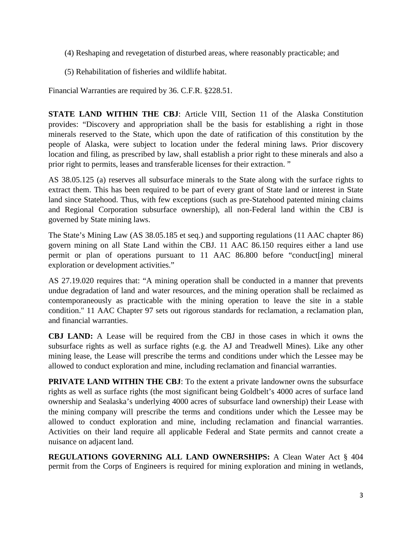- (4) Reshaping and revegetation of disturbed areas, where reasonably practicable; and
- (5) Rehabilitation of fisheries and wildlife habitat.

Financial Warranties are required by 36. C.F.R. §228.51.

**STATE LAND WITHIN THE CBJ**: Article VIII, Section 11 of the Alaska Constitution provides: "Discovery and appropriation shall be the basis for establishing a right in those minerals reserved to the State, which upon the date of ratification of this constitution by the people of Alaska, were subject to location under the federal mining laws. Prior discovery location and filing, as prescribed by law, shall establish a prior right to these minerals and also a prior right to permits, leases and transferable licenses for their extraction. "

AS 38.05.125 (a) reserves all subsurface minerals to the State along with the surface rights to extract them. This has been required to be part of every grant of State land or interest in State land since Statehood. Thus, with few exceptions (such as pre-Statehood patented mining claims and Regional Corporation subsurface ownership), all non-Federal land within the CBJ is governed by State mining laws.

The State's Mining Law (AS 38.05.185 et seq.) and supporting regulations (11 AAC chapter 86) govern mining on all State Land within the CBJ. 11 AAC 86.150 requires either a land use permit or plan of operations pursuant to 11 AAC 86.800 before "conduct[ing] mineral exploration or development activities."

AS 27.19.020 requires that: "A mining operation shall be conducted in a manner that prevents undue degradation of land and water resources, and the mining operation shall be reclaimed as contemporaneously as practicable with the mining operation to leave the site in a stable condition." 11 AAC Chapter 97 sets out rigorous standards for reclamation, a reclamation plan, and financial warranties.

**CBJ LAND:** A Lease will be required from the CBJ in those cases in which it owns the subsurface rights as well as surface rights (e.g. the AJ and Treadwell Mines). Like any other mining lease, the Lease will prescribe the terms and conditions under which the Lessee may be allowed to conduct exploration and mine, including reclamation and financial warranties.

**PRIVATE LAND WITHIN THE CBJ:** To the extent a private landowner owns the subsurface rights as well as surface rights (the most significant being Goldbelt's 4000 acres of surface land ownership and Sealaska's underlying 4000 acres of subsurface land ownership) their Lease with the mining company will prescribe the terms and conditions under which the Lessee may be allowed to conduct exploration and mine, including reclamation and financial warranties. Activities on their land require all applicable Federal and State permits and cannot create a nuisance on adjacent land.

**REGULATIONS GOVERNING ALL LAND OWNERSHIPS:** A Clean Water Act § 404 permit from the Corps of Engineers is required for mining exploration and mining in wetlands,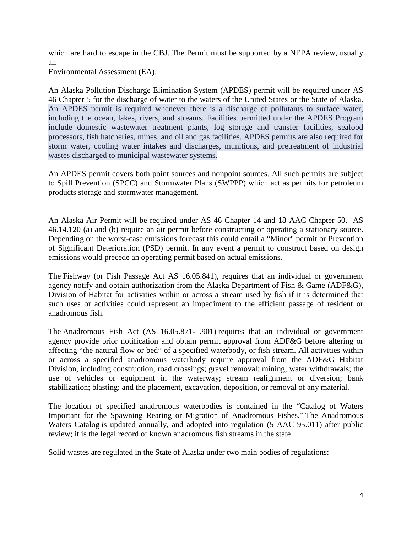which are hard to escape in the CBJ. The Permit must be supported by a NEPA review, usually an

Environmental Assessment (EA).

An Alaska Pollution Discharge Elimination System (APDES) permit will be required under AS 46 Chapter 5 for the discharge of water to the waters of the United States or the State of Alaska. An APDES permit is required whenever there is a discharge of pollutants to surface water, including the ocean, lakes, rivers, and streams. Facilities permitted under the APDES Program include domestic wastewater treatment plants, log storage and transfer facilities, seafood processors, fish hatcheries, mines, and oil and gas facilities. APDES permits are also required for storm water, cooling water intakes and discharges, munitions, and pretreatment of industrial wastes discharged to municipal wastewater systems.

An APDES permit covers both point sources and nonpoint sources. All such permits are subject to Spill Prevention (SPCC) and Stormwater Plans (SWPPP) which act as permits for petroleum products storage and stormwater management.

An Alaska Air Permit will be required under AS 46 Chapter 14 and 18 AAC Chapter 50. AS 46.14.120 (a) and (b) require an air permit before constructing or operating a stationary source. Depending on the worst-case emissions forecast this could entail a "Minor" permit or Prevention of Significant Deterioration (PSD) permit. In any event a permit to construct based on design emissions would precede an operating permit based on actual emissions.

The Fishway (or Fish Passage Act AS [16.05.841\),](http://www.legis.state.ak.us/basis/folioproxy.asp?url=http://wwwjnu01.legis.state.ak.us/cgi-bin/folioisa.dll/stattx10/query=16!2E05!2E841/doc/%7b@1%7d?firsthit) requires that an individual or government agency notify and obtain authorization from the Alaska Department of Fish & Game (ADF&G), Division of Habitat for activities within or across a stream used by fish if it is determined that such uses or activities could represent an impediment to the efficient passage of resident or anadromous fish.

The [Anadromous](http://www.legis.state.ak.us/basis/folioproxy.asp?url=http://wwwjnu01.legis.state.ak.us/cgi-bin/folioisa.dll/stattx10/query=16!2E05!2E871/doc/%7b@1%7d?firsthit) Fish Act (AS 16.05.871- .901) requires that an individual or government agency provide prior notification and obtain permit approval from ADF&G before altering or affecting "the natural flow or bed" of a specified waterbody, or fish stream. All activities within or across a specified anadromous waterbody require approval from the ADF&G Habitat Division, including construction; road crossings; gravel removal; mining; water withdrawals; the use of vehicles or equipment in the waterway; stream realignment or diversion; bank stabilization; blasting; and the placement, excavation, deposition, or removal of any material.

The location of specified anadromous waterbodies is contained in the "Catalog of Waters Important for the Spawning Rearing or Migration of Anadromous Fishes." The [Anadromous](http://www.adfg.alaska.gov/sf/SARR/AWC/) Waters [Catalog](http://www.adfg.alaska.gov/sf/SARR/AWC/) is updated annually, and adopted into regulation (5 AAC [95.011\)](http://www.legis.state.ak.us/basis/folioproxy.asp?url=http://wwwjnu01.legis.state.ak.us/cgi-bin/folioisa.dll/aac/query=95!2E011/doc/%7b@1%7d?firsthit) after public review; it is the legal record of known anadromous fish streams in the state.

Solid wastes are regulated in the State of Alaska under two main bodies of regulations: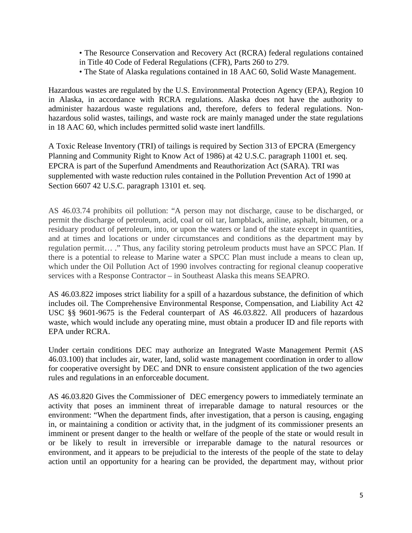• The Resource Conservation and Recovery Act (RCRA) federal regulations contained in Title 40 Code of Federal Regulations (CFR), Parts 260 to 279.

• The State of Alaska regulations contained in 18 AAC 60, Solid Waste Management.

Hazardous wastes are regulated by the U.S. Environmental Protection Agency (EPA), Region 10 in Alaska, in accordance with RCRA regulations. Alaska does not have the authority to administer hazardous waste regulations and, therefore, defers to federal regulations. Nonhazardous solid wastes, tailings, and waste rock are mainly managed under the state regulations in 18 AAC 60, which includes permitted solid waste inert landfills.

A Toxic Release Inventory (TRI) of tailings is required by Section 313 of EPCRA (Emergency Planning and Community Right to Know Act of 1986) at 42 U.S.C. paragraph 11001 et. seq. EPCRA is part of the Superfund Amendments and Reauthorization Act (SARA). TRI was supplemented with waste reduction rules contained in the Pollution Prevention Act of 1990 at Section 6607 42 U.S.C. paragraph 13101 et. seq.

AS 46.03.74 prohibits oil pollution: "A person may not discharge, cause to be discharged, or permit the discharge of petroleum, acid, coal or oil tar, lampblack, aniline, asphalt, bitumen, or a residuary product of petroleum, into, or upon the waters or land of the state except in quantities, and at times and locations or under circumstances and conditions as the department may by regulation permit… ." Thus, any facility storing petroleum products must have an SPCC Plan. If there is a potential to release to Marine water a SPCC Plan must include a means to clean up, which under the Oil Pollution Act of 1990 involves contracting for regional cleanup cooperative services with a Response Contractor – in Southeast Alaska this means SEAPRO.

AS 46.03.822 imposes strict liability for a spill of a hazardous substance, the definition of which includes oil. The Comprehensive Environmental Response, Compensation, and Liability Act 42 USC §§ 9601-9675 is the Federal counterpart of AS 46.03.822. All producers of hazardous waste, which would include any operating mine, must obtain a producer ID and file reports with EPA under RCRA.

Under certain conditions DEC may authorize an Integrated Waste Management Permit (AS 46.03.100) that includes air, water, land, solid waste management coordination in order to allow for cooperative oversight by DEC and DNR to ensure consistent application of the two agencies rules and regulations in an enforceable document.

AS 46.03.820 Gives the Commissioner of DEC emergency powers to immediately terminate an activity that poses an imminent threat of irreparable damage to natural resources or the environment: "When the department finds, after investigation, that a person is causing, engaging in, or maintaining a condition or activity that, in the judgment of its commissioner presents an imminent or present danger to the health or welfare of the people of the state or would result in or be likely to result in irreversible or irreparable damage to the natural resources or environment, and it appears to be prejudicial to the interests of the people of the state to delay action until an opportunity for a hearing can be provided, the department may, without prior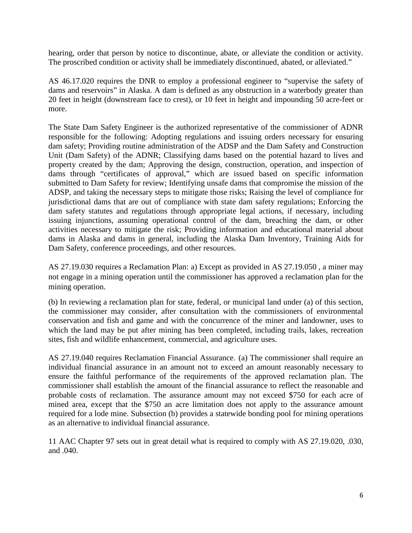hearing, order that person by notice to discontinue, abate, or alleviate the condition or activity. The proscribed condition or activity shall be immediately discontinued, abated, or alleviated."

AS 46.17.020 requires the DNR to employ a professional engineer to "supervise the safety of dams and reservoirs" in Alaska. A dam is defined as any obstruction in a waterbody greater than 20 feet in height (downstream face to crest), or 10 feet in height and impounding 50 acre-feet or more.

The State Dam Safety Engineer is the authorized representative of the commissioner of ADNR responsible for the following: Adopting regulations and issuing orders necessary for ensuring dam safety; Providing routine administration of the ADSP and the Dam Safety and Construction Unit (Dam Safety) of the ADNR; Classifying dams based on the potential hazard to lives and property created by the dam; Approving the design, construction, operation, and inspection of dams through "certificates of approval," which are issued based on specific information submitted to Dam Safety for review; Identifying unsafe dams that compromise the mission of the ADSP, and taking the necessary steps to mitigate those risks; Raising the level of compliance for jurisdictional dams that are out of compliance with state dam safety regulations; Enforcing the dam safety statutes and regulations through appropriate legal actions, if necessary, including issuing injunctions, assuming operational control of the dam, breaching the dam, or other activities necessary to mitigate the risk; Providing information and educational material about dams in Alaska and dams in general, including the Alaska Dam Inventory, Training Aids for Dam Safety, conference proceedings, and other resources.

AS 27.19.030 requires a Reclamation Plan: a) Except as provided in AS [27.19.050](http://www.touchngo.com/lglcntr/akstats/Statutes/Title27/Chapter19/Section050.htm) , a miner may not engage in a mining operation until the commissioner has approved a reclamation plan for the mining operation.

(b) In reviewing a reclamation plan for state, federal, or municipal land under (a) of this section, the commissioner may consider, after consultation with the commissioners of environmental conservation and fish and game and with the concurrence of the miner and landowner, uses to which the land may be put after mining has been completed, including trails, lakes, recreation sites, fish and wildlife enhancement, commercial, and agriculture uses.

AS 27.19.040 requires Reclamation Financial Assurance. (a) The commissioner shall require an individual financial assurance in an amount not to exceed an amount reasonably necessary to ensure the faithful performance of the requirements of the approved reclamation plan. The commissioner shall establish the amount of the financial assurance to reflect the reasonable and probable costs of reclamation. The assurance amount may not exceed \$750 for each acre of mined area, except that the \$750 an acre limitation does not apply to the assurance amount required for a lode mine. Subsection (b) provides a statewide bonding pool for mining operations as an alternative to individual financial assurance.

11 AAC Chapter 97 sets out in great detail what is required to comply with AS 27.19.020, .030, and .040.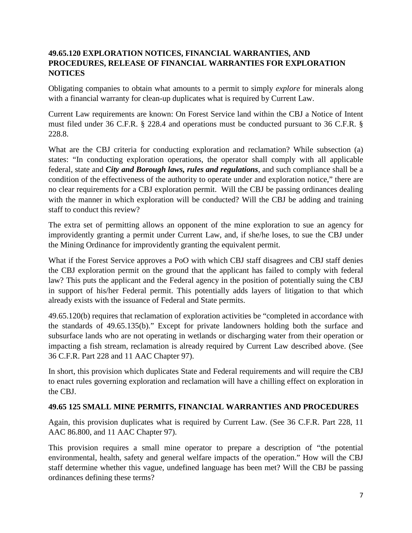# **49.65.120 EXPLORATION NOTICES, FINANCIAL WARRANTIES, AND PROCEDURES, RELEASE OF FINANCIAL WARRANTIES FOR EXPLORATION NOTICES**

Obligating companies to obtain what amounts to a permit to simply *explore* for minerals along with a financial warranty for clean-up duplicates what is required by Current Law.

Current Law requirements are known: On Forest Service land within the CBJ a Notice of Intent must filed under 36 C.F.R. § 228.4 and operations must be conducted pursuant to 36 C.F.R. § 228.8.

What are the CBJ criteria for conducting exploration and reclamation? While subsection (a) states: "In conducting exploration operations, the operator shall comply with all applicable federal, state and *City and Borough laws, rules and regulations*, and such compliance shall be a condition of the effectiveness of the authority to operate under and exploration notice," there are no clear requirements for a CBJ exploration permit. Will the CBJ be passing ordinances dealing with the manner in which exploration will be conducted? Will the CBJ be adding and training staff to conduct this review?

The extra set of permitting allows an opponent of the mine exploration to sue an agency for improvidently granting a permit under Current Law, and, if she/he loses, to sue the CBJ under the Mining Ordinance for improvidently granting the equivalent permit.

What if the Forest Service approves a PoO with which CBJ staff disagrees and CBJ staff denies the CBJ exploration permit on the ground that the applicant has failed to comply with federal law? This puts the applicant and the Federal agency in the position of potentially suing the CBJ in support of his/her Federal permit. This potentially adds layers of litigation to that which already exists with the issuance of Federal and State permits.

49.65.120(b) requires that reclamation of exploration activities be "completed in accordance with the standards of 49.65.135(b)." Except for private landowners holding both the surface and subsurface lands who are not operating in wetlands or discharging water from their operation or impacting a fish stream, reclamation is already required by Current Law described above. (See 36 C.F.R. Part 228 and 11 AAC Chapter 97).

In short, this provision which duplicates State and Federal requirements and will require the CBJ to enact rules governing exploration and reclamation will have a chilling effect on exploration in the CBJ.

# **49.65 125 SMALL MINE PERMITS, FINANCIAL WARRANTIES AND PROCEDURES**

Again, this provision duplicates what is required by Current Law. (See 36 C.F.R. Part 228, 11 AAC 86.800, and 11 AAC Chapter 97).

This provision requires a small mine operator to prepare a description of "the potential environmental, health, safety and general welfare impacts of the operation." How will the CBJ staff determine whether this vague, undefined language has been met? Will the CBJ be passing ordinances defining these terms?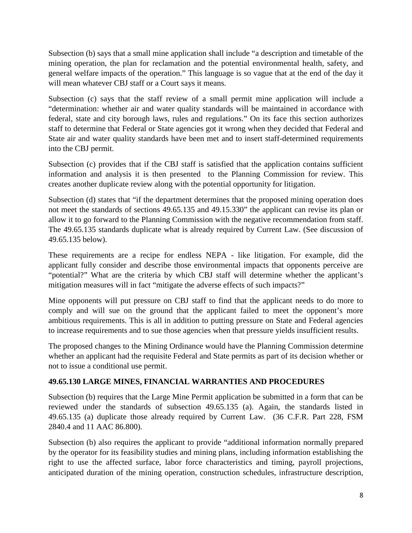Subsection (b) says that a small mine application shall include "a description and timetable of the mining operation, the plan for reclamation and the potential environmental health, safety, and general welfare impacts of the operation." This language is so vague that at the end of the day it will mean whatever CBJ staff or a Court says it means.

Subsection (c) says that the staff review of a small permit mine application will include a "determination: whether air and water quality standards will be maintained in accordance with federal, state and city borough laws, rules and regulations." On its face this section authorizes staff to determine that Federal or State agencies got it wrong when they decided that Federal and State air and water quality standards have been met and to insert staff-determined requirements into the CBJ permit.

Subsection (c) provides that if the CBJ staff is satisfied that the application contains sufficient information and analysis it is then presented to the Planning Commission for review. This creates another duplicate review along with the potential opportunity for litigation.

Subsection (d) states that "if the department determines that the proposed mining operation does not meet the standards of sections 49.65.135 and 49.15.330" the applicant can revise its plan or allow it to go forward to the Planning Commission with the negative recommendation from staff. The 49.65.135 standards duplicate what is already required by Current Law. (See discussion of 49.65.135 below).

These requirements are a recipe for endless NEPA - like litigation. For example, did the applicant fully consider and describe those environmental impacts that opponents perceive are "potential?" What are the criteria by which CBJ staff will determine whether the applicant's mitigation measures will in fact "mitigate the adverse effects of such impacts?"

Mine opponents will put pressure on CBJ staff to find that the applicant needs to do more to comply and will sue on the ground that the applicant failed to meet the opponent's more ambitious requirements. This is all in addition to putting pressure on State and Federal agencies to increase requirements and to sue those agencies when that pressure yields insufficient results.

The proposed changes to the Mining Ordinance would have the Planning Commission determine whether an applicant had the requisite Federal and State permits as part of its decision whether or not to issue a conditional use permit.

# **49.65.130 LARGE MINES, FINANCIAL WARRANTIES AND PROCEDURES**

Subsection (b) requires that the Large Mine Permit application be submitted in a form that can be reviewed under the standards of subsection 49.65.135 (a). Again, the standards listed in 49.65.135 (a) duplicate those already required by Current Law. (36 C.F.R. Part 228, FSM 2840.4 and 11 AAC 86.800).

Subsection (b) also requires the applicant to provide "additional information normally prepared by the operator for its feasibility studies and mining plans, including information establishing the right to use the affected surface, labor force characteristics and timing, payroll projections, anticipated duration of the mining operation, construction schedules, infrastructure description,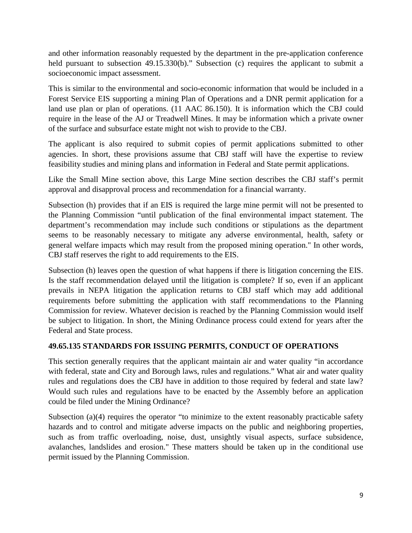and other information reasonably requested by the department in the pre-application conference held pursuant to subsection 49.15.330(b)." Subsection (c) requires the applicant to submit a socioeconomic impact assessment.

This is similar to the environmental and socio-economic information that would be included in a Forest Service EIS supporting a mining Plan of Operations and a DNR permit application for a land use plan or plan of operations. (11 AAC 86.150). It is information which the CBJ could require in the lease of the AJ or Treadwell Mines. It may be information which a private owner of the surface and subsurface estate might not wish to provide to the CBJ.

The applicant is also required to submit copies of permit applications submitted to other agencies. In short, these provisions assume that CBJ staff will have the expertise to review feasibility studies and mining plans and information in Federal and State permit applications.

Like the Small Mine section above, this Large Mine section describes the CBJ staff's permit approval and disapproval process and recommendation for a financial warranty.

Subsection (h) provides that if an EIS is required the large mine permit will not be presented to the Planning Commission "until publication of the final environmental impact statement. The department's recommendation may include such conditions or stipulations as the department seems to be reasonably necessary to mitigate any adverse environmental, health, safety or general welfare impacts which may result from the proposed mining operation." In other words, CBJ staff reserves the right to add requirements to the EIS.

Subsection (h) leaves open the question of what happens if there is litigation concerning the EIS. Is the staff recommendation delayed until the litigation is complete? If so, even if an applicant prevails in NEPA litigation the application returns to CBJ staff which may add additional requirements before submitting the application with staff recommendations to the Planning Commission for review. Whatever decision is reached by the Planning Commission would itself be subject to litigation. In short, the Mining Ordinance process could extend for years after the Federal and State process.

# **49.65.135 STANDARDS FOR ISSUING PERMITS, CONDUCT OF OPERATIONS**

This section generally requires that the applicant maintain air and water quality "in accordance with federal, state and City and Borough laws, rules and regulations." What air and water quality rules and regulations does the CBJ have in addition to those required by federal and state law? Would such rules and regulations have to be enacted by the Assembly before an application could be filed under the Mining Ordinance?

Subsection (a)(4) requires the operator "to minimize to the extent reasonably practicable safety hazards and to control and mitigate adverse impacts on the public and neighboring properties, such as from traffic overloading, noise, dust, unsightly visual aspects, surface subsidence, avalanches, landslides and erosion." These matters should be taken up in the conditional use permit issued by the Planning Commission.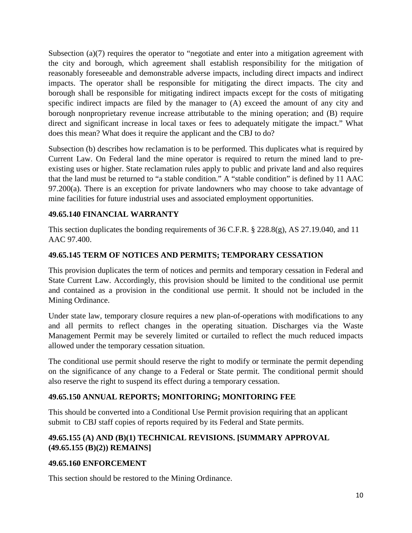Subsection (a)(7) requires the operator to "negotiate and enter into a mitigation agreement with the city and borough, which agreement shall establish responsibility for the mitigation of reasonably foreseeable and demonstrable adverse impacts, including direct impacts and indirect impacts. The operator shall be responsible for mitigating the direct impacts. The city and borough shall be responsible for mitigating indirect impacts except for the costs of mitigating specific indirect impacts are filed by the manager to (A) exceed the amount of any city and borough nonproprietary revenue increase attributable to the mining operation; and (B) require direct and significant increase in local taxes or fees to adequately mitigate the impact." What does this mean? What does it require the applicant and the CBJ to do?

Subsection (b) describes how reclamation is to be performed. This duplicates what is required by Current Law. On Federal land the mine operator is required to return the mined land to preexisting uses or higher. State reclamation rules apply to public and private land and also requires that the land must be returned to "a stable condition." A "stable condition" is defined by 11 AAC 97.200(a). There is an exception for private landowners who may choose to take advantage of mine facilities for future industrial uses and associated employment opportunities.

# **49.65.140 FINANCIAL WARRANTY**

This section duplicates the bonding requirements of 36 C.F.R. § 228.8(g), AS 27.19.040, and 11 AAC 97.400.

# **49.65.145 TERM OF NOTICES AND PERMITS; TEMPORARY CESSATION**

This provision duplicates the term of notices and permits and temporary cessation in Federal and State Current Law. Accordingly, this provision should be limited to the conditional use permit and contained as a provision in the conditional use permit. It should not be included in the Mining Ordinance.

Under state law, temporary closure requires a new plan-of-operations with modifications to any and all permits to reflect changes in the operating situation. Discharges via the Waste Management Permit may be severely limited or curtailed to reflect the much reduced impacts allowed under the temporary cessation situation.

The conditional use permit should reserve the right to modify or terminate the permit depending on the significance of any change to a Federal or State permit. The conditional permit should also reserve the right to suspend its effect during a temporary cessation.

# **49.65.150 ANNUAL REPORTS; MONITORING; MONITORING FEE**

This should be converted into a Conditional Use Permit provision requiring that an applicant submit to CBJ staff copies of reports required by its Federal and State permits.

# **49.65.155 (A) AND (B)(1) TECHNICAL REVISIONS. [SUMMARY APPROVAL (49.65.155 (B)(2)) REMAINS]**

# **49.65.160 ENFORCEMENT**

This section should be restored to the Mining Ordinance.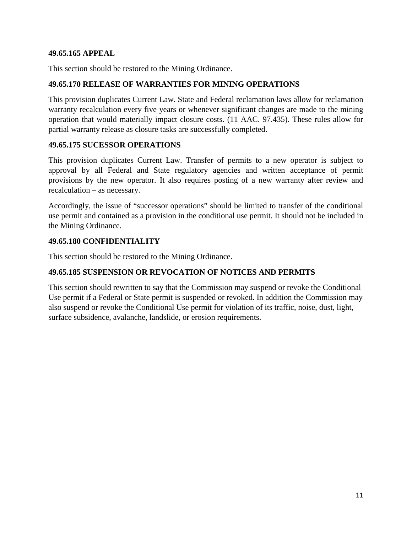### **49.65.165 APPEAL**

This section should be restored to the Mining Ordinance.

### **49.65.170 RELEASE OF WARRANTIES FOR MINING OPERATIONS**

This provision duplicates Current Law. State and Federal reclamation laws allow for reclamation warranty recalculation every five years or whenever significant changes are made to the mining operation that would materially impact closure costs. (11 AAC. 97.435). These rules allow for partial warranty release as closure tasks are successfully completed.

### **49.65.175 SUCESSOR OPERATIONS**

This provision duplicates Current Law. Transfer of permits to a new operator is subject to approval by all Federal and State regulatory agencies and written acceptance of permit provisions by the new operator. It also requires posting of a new warranty after review and recalculation – as necessary.

Accordingly, the issue of "successor operations" should be limited to transfer of the conditional use permit and contained as a provision in the conditional use permit. It should not be included in the Mining Ordinance.

### **49.65.180 CONFIDENTIALITY**

This section should be restored to the Mining Ordinance.

# **49.65.185 SUSPENSION OR REVOCATION OF NOTICES AND PERMITS**

This section should rewritten to say that the Commission may suspend or revoke the Conditional Use permit if a Federal or State permit is suspended or revoked. In addition the Commission may also suspend or revoke the Conditional Use permit for violation of its traffic, noise, dust, light, surface subsidence, avalanche, landslide, or erosion requirements.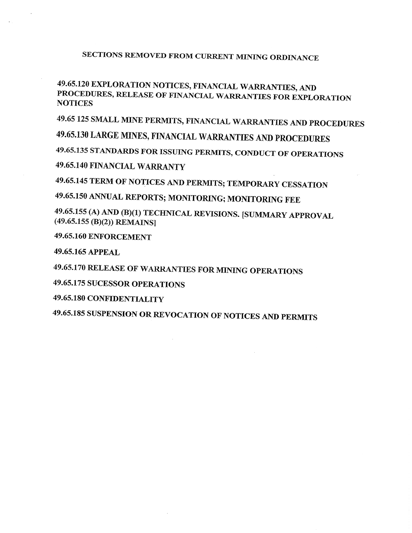# SECTIONS REMOVED FROM CURRENT MINING ORDINANCE

# 49.65.120 EXPLORATION NOTICES, FINANCIAL WARRANTIES, AND PROCEDURES, RELEASE OF FINANCIAL WARRANTIES FOR EXPLORATION **NOTICES**

49.65 125 SMALL MINE PERMITS, FINANCIAL WARRANTIES AND PROCEDURES

49.65.130 LARGE MINES, FINANCIAL WARRANTIES AND PROCEDURES

49.65.135 STANDARDS FOR ISSUING PERMITS, CONDUCT OF OPERATIONS

49.65.140 FINANCIAL WARRANTY

49.65.145 TERM OF NOTICES AND PERMITS; TEMPORARY CESSATION

49.65.150 ANNUAL REPORTS; MONITORING; MONITORING FEE

49.65.155 (A) AND (B)(1) TECHNICAL REVISIONS. [SUMMARY APPROVAL  $(49.65.155(B)(2))$  REMAINS]

49.65.160 ENFORCEMENT

49.65.165 APPEAL

49.65.170 RELEASE OF WARRANTIES FOR MINING OPERATIONS

49.65.175 SUCESSOR OPERATIONS

49.65.180 CONFIDENTIALITY

49.65.185 SUSPENSION OR REVOCATION OF NOTICES AND PERMITS

 $\sim$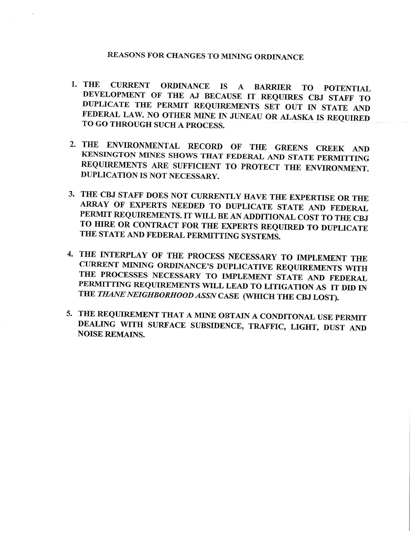# REASONS FOR CHANGES TO MINING ORDINANCE

- **CURRENT ORDINANCE IS A BARRIER** 1. THE TO **TO POTENTIAL** DEVELOPMENT OF THE AJ BECAUSE IT REQUIRES CBJ STAFF TO DUPLICATE THE PERMIT REQUIREMENTS SET OUT IN STATE AND FEDERAL LAW. NO OTHER MINE IN JUNEAU OR ALASKA IS REQUIRED TO GO THROUGH SUCH A PROCESS.
- 2. THE ENVIRONMENTAL RECORD OF THE GREENS CREEK AND KENSINGTON MINES SHOWS THAT FEDERAL AND STATE PERMITTING REQUIREMENTS ARE SUFFICIENT TO PROTECT THE ENVIRONMENT. DUPLICATION IS NOT NECESSARY.
- 3. THE CBJ STAFF DOES NOT CURRENTLY HAVE THE EXPERTISE OR THE ARRAY OF EXPERTS NEEDED TO DUPLICATE STATE AND FEDERAL PERMIT REQUIREMENTS. IT WILL BE AN ADDITIONAL COST TO THE CBJ TO HIRE OR CONTRACT FOR THE EXPERTS REQUIRED TO DUPLICATE THE STATE AND FEDERAL PERMITTING SYSTEMS.
- 4. THE INTERPLAY OF THE PROCESS NECESSARY TO IMPLEMENT THE CURRENT MINING ORDINANCE'S DUPLICATIVE REQUIREMENTS WITH THE PROCESSES NECESSARY TO IMPLEMENT STATE AND FEDERAL PERMITTING REQUIREMENTS WILL LEAD TO LITIGATION AS IT DID IN THE THANE NEIGHBORHOOD ASSN CASE (WHICH THE CBJ LOST).
- 5. THE REQUIREMENT THAT A MINE OBTAIN A CONDITONAL USE PERMIT DEALING WITH SURFACE SUBSIDENCE, TRAFFIC, LIGHT, DUST AND **NOISE REMAINS.**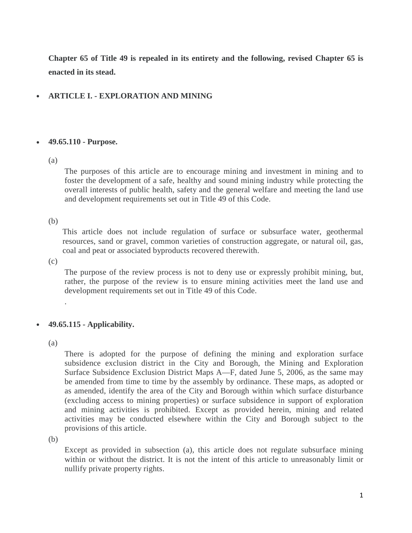**Chapter 65 of Title 49 is repealed in its entirety and the following, revised Chapter 65 is enacted in its stead.**

# • **ARTICLE I. - EXPLORATION AND MINING**

#### • **49.65.110 - Purpose.**

#### (a)

The purposes of this article are to encourage mining and investment in mining and to foster the development of a safe, healthy and sound mining industry while protecting the overall interests of public health, safety and the general welfare and meeting the land use and development requirements set out in Title 49 of this Code.

#### (b)

This article does not include regulation of surface or subsurface water, geothermal resources, sand or gravel, common varieties of construction aggregate, or natural oil, gas, coal and peat or associated byproducts recovered therewith.

 $(c)$ 

The purpose of the review process is not to deny use or expressly prohibit mining, but, rather, the purpose of the review is to ensure mining activities meet the land use and development requirements set out in Title 49 of this Code.

# • **49.65.115 - Applicability.**

(a)

.

There is adopted for the purpose of defining the mining and exploration surface subsidence exclusion district in the City and Borough, the Mining and Exploration Surface Subsidence Exclusion District Maps A—F, dated June 5, 2006, as the same may be amended from time to time by the assembly by ordinance. These maps, as adopted or as amended, identify the area of the City and Borough within which surface disturbance (excluding access to mining properties) or surface subsidence in support of exploration and mining activities is prohibited. Except as provided herein, mining and related activities may be conducted elsewhere within the City and Borough subject to the provisions of this article.

(b)

Except as provided in subsection (a), this article does not regulate subsurface mining within or without the district. It is not the intent of this article to unreasonably limit or nullify private property rights.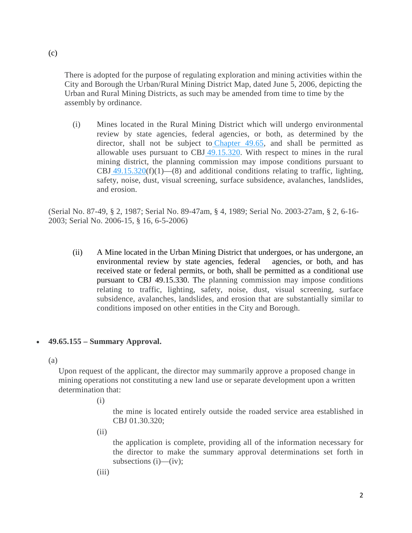There is adopted for the purpose of regulating exploration and mining activities within the City and Borough the Urban/Rural Mining District Map, dated June 5, 2006, depicting the Urban and Rural Mining Districts, as such may be amended from time to time by the assembly by ordinance.

(i) Mines located in the Rural Mining District which will undergo environmental review by state agencies, federal agencies, or both, as determined by the director, shall not be subject to [Chapter 49.65,](https://www.municode.com/library/ak/juneau/codes/code_of_ordinances?nodeId=PTIICOOR_TIT49LAUS_CH49.65SPUSPR) and shall be permitted as allowable uses pursuant to CBJ [49.15.320.](https://www.municode.com/library/ak/juneau/codes/code_of_ordinances?nodeId=PTIICOOR_TIT49LAUS_CH49.15PE_ARTIIITYDE_49.15.320ALUSPE) With respect to mines in the rural mining district, the planning commission may impose conditions pursuant to CBJ  $49.15.320(f)(1)$  $49.15.320(f)(1)$ —(8) and additional conditions relating to traffic, lighting, safety, noise, dust, visual screening, surface subsidence, avalanches, landslides, and erosion.

(Serial No. 87-49, § 2, 1987; Serial No. 89-47am, § 4, 1989; Serial No. 2003-27am, § 2, 6-16- 2003; Serial No. 2006-15, § 16, 6-5-2006)

(ii) A Mine located in the Urban Mining District that undergoes, or has undergone, an environmental review by state agencies, federal agencies, or both, and has received state or federal permits, or both, shall be permitted as a conditional use pursuant to CBJ 49.15.330. The planning commission may impose conditions relating to traffic, lighting, safety, noise, dust, visual screening, surface subsidence, avalanches, landslides, and erosion that are substantially similar to conditions imposed on other entities in the City and Borough.

#### • **49.65.155 – Summary Approval.**

(a)

Upon request of the applicant, the director may summarily approve a proposed change in mining operations not constituting a new land use or separate development upon a written determination that:

(i)

the mine is located entirely outside the roaded service area established in CBJ 01.30.320;

 $(ii)$ 

the application is complete, providing all of the information necessary for the director to make the summary approval determinations set forth in subsections (i)—(iv);

 $(iii)$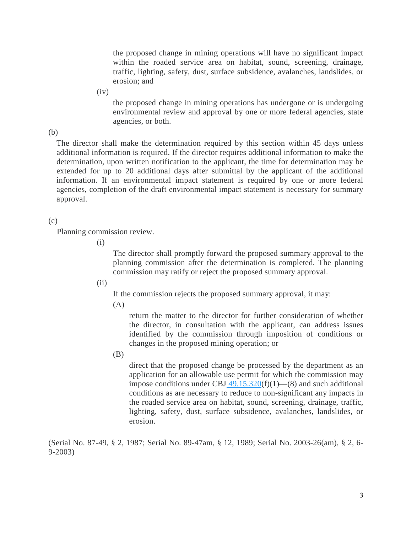the proposed change in mining operations will have no significant impact within the roaded service area on habitat, sound, screening, drainage, traffic, lighting, safety, dust, surface subsidence, avalanches, landslides, or erosion; and

 $(iv)$ 

the proposed change in mining operations has undergone or is undergoing environmental review and approval by one or more federal agencies, state agencies, or both.

(b)

The director shall make the determination required by this section within 45 days unless additional information is required. If the director requires additional information to make the determination, upon written notification to the applicant, the time for determination may be extended for up to 20 additional days after submittal by the applicant of the additional information. If an environmental impact statement is required by one or more federal agencies, completion of the draft environmental impact statement is necessary for summary approval.

#### (c)

Planning commission review.

(i)

The director shall promptly forward the proposed summary approval to the planning commission after the determination is completed. The planning commission may ratify or reject the proposed summary approval.

 $(ii)$ 

If the commission rejects the proposed summary approval, it may:

 $(A)$ 

return the matter to the director for further consideration of whether the director, in consultation with the applicant, can address issues identified by the commission through imposition of conditions or changes in the proposed mining operation; or

(B)

direct that the proposed change be processed by the department as an application for an allowable use permit for which the commission may impose conditions under CBJ  $\frac{49.15.320(f)(1) - (8)}{20}$  $\frac{49.15.320(f)(1) - (8)}{20}$  $\frac{49.15.320(f)(1) - (8)}{20}$  and such additional conditions as are necessary to reduce to non-significant any impacts in the roaded service area on habitat, sound, screening, drainage, traffic, lighting, safety, dust, surface subsidence, avalanches, landslides, or erosion.

(Serial No. 87-49, § 2, 1987; Serial No. 89-47am, § 12, 1989; Serial No. 2003-26(am), § 2, 6- 9-2003)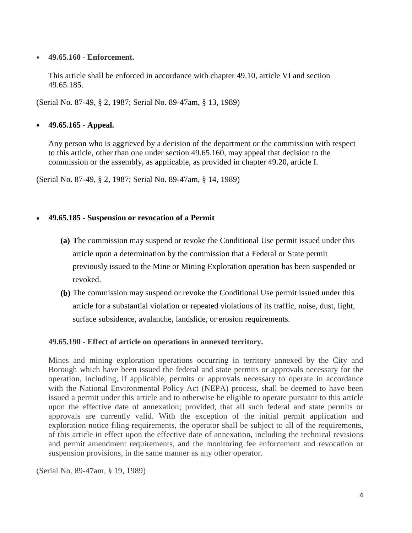#### • **49.65.160 - Enforcement.**

This article shall be enforced in accordance with [chapter 49.10,](https://www.municode.com/library/ak/juneau/codes/code_of_ordinances?nodeId=PTIICOOR_TIT49LAUS_CH49.10ADCO) article VI and [section](https://www.municode.com/library/ak/juneau/codes/code_of_ordinances?nodeId=PTIICOOR_TIT49LAUS_CH49.65SPUSPR_ARTIEXMI_49.65.185SURENOPE)  [49.65.185.](https://www.municode.com/library/ak/juneau/codes/code_of_ordinances?nodeId=PTIICOOR_TIT49LAUS_CH49.65SPUSPR_ARTIEXMI_49.65.185SURENOPE)

(Serial No. 87-49, § 2, 1987; Serial No. 89-47am, § 13, 1989)

# • **49.65.165 - Appeal.**

Any person who is aggrieved by a decision of the department or the commission with respect to this article, other than one under [section 49.65.160,](https://www.municode.com/library/ak/juneau/codes/code_of_ordinances?nodeId=PTIICOOR_TIT49LAUS_CH49.65SPUSPR_ARTIEXMI_49.65.160EN) may appeal that decision to the commission or the assembly, as applicable, as provided in [chapter 49.20,](https://www.municode.com/library/ak/juneau/codes/code_of_ordinances?nodeId=PTIICOOR_TIT49LAUS_CH49.20APVAIN) article I.

(Serial No. 87-49, § 2, 1987; Serial No. 89-47am, § 14, 1989)

# • **49.65.185 - Suspension or revocation of a Permit**

- **(a) T**he commission may suspend or revoke the Conditional Use permit issued under this article upon a determination by the commission that a Federal or State permit previously issued to the Mine or Mining Exploration operation has been suspended or revoked.
- **(b)** The commission may suspend or revoke the Conditional Use permit issued under this article for a substantial violation or repeated violations of its traffic, noise, dust, light, surface subsidence, avalanche, landslide, or erosion requirements.

# **49.65.190 - Effect of article on operations in annexed territory.**

Mines and mining exploration operations occurring in territory annexed by the City and Borough which have been issued the federal and state permits or approvals necessary for the operation, including, if applicable, permits or approvals necessary to operate in accordance with the National Environmental Policy Act (NEPA) process, shall be deemed to have been issued a permit under this article and to otherwise be eligible to operate pursuant to this article upon the effective date of annexation; provided, that all such federal and state permits or approvals are currently valid. With the exception of the initial permit application and exploration notice filing requirements, the operator shall be subject to all of the requirements, of this article in effect upon the effective date of annexation, including the technical revisions and permit amendment requirements, and the monitoring fee enforcement and revocation or suspension provisions, in the same manner as any other operator.

(Serial No. 89-47am, § 19, 1989)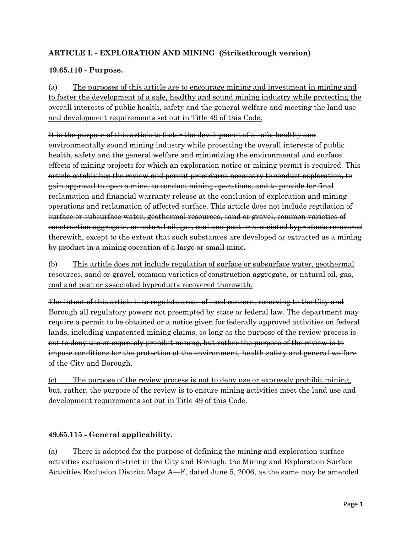# **ARTICLE I. - EXPLORATION AND MINING (Strikethrough version)**

### **49.65.110 - Purpose.**

(a) The purposes of this article are to encourage mining and investment in mining and to foster the development of a safe, healthy and sound mining industry while protecting the overall interests of public health, safety and the general welfare and meeting the land use and development requirements set out in Title 49 of this Code.

It is the purpose of this article to foster the development of a safe, healthy and environmentally sound mining industry while protecting the overall interests of public health, safety and the general welfare and minimizing the environmental and surface effects of mining projects for which an exploration notice or mining permit is required. This article establishes the review and permit procedures necessary to conduct exploration, to gain approval to open a mine, to conduct mining operations, and to provide for final reclamation and financial warranty release at the conclusion of exploration and mining operations and reclamation of affected surface. This article does not include regulation of surface or subsurface water, geothermal resources, sand or gravel, common varieties of construction aggregate, or natural oil, gas, coal and peat or associated byproducts recovered therewith, except to the extent that such substances are developed or extracted as a mining by product in a mining operation of a large or small mine.

(b) This article does not include regulation of surface or subsurface water, geothermal resources, sand or gravel, common varieties of construction aggregate, or natural oil, gas, coal and peat or associated byproducts recovered therewith.

The intent of this article is to regulate areas of local concern, reserving to the City and Borough all regulatory powers not preempted by state or federal law. The department may require a permit to be obtained or a notice given for federally approved activities on federal lands, including unpatented mining claims, so long as the purpose of the review process is not to deny use or expressly prohibit mining, but rather the purpose of the review is to impose conditions for the protection of the environment, health safety and general welfare of the City and Borough.

(c) The purpose of the review process is not to deny use or expressly prohibit mining, but, rather, the purpose of the review is to ensure mining activities meet the land use and development requirements set out in Title 49 of this Code.

#### **49.65.115 - General applicability.**

(a) There is adopted for the purpose of defining the mining and exploration surface activities exclusion district in the City and Borough, the Mining and Exploration Surface Activities Exclusion District Maps A—F, dated June 5, 2006, as the same may be amended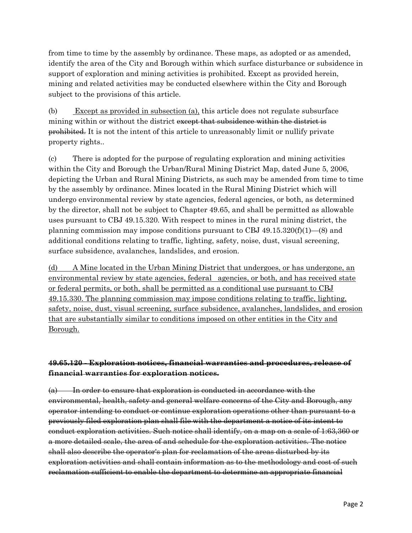from time to time by the assembly by ordinance. These maps, as adopted or as amended, identify the area of the City and Borough within which surface disturbance or subsidence in support of exploration and mining activities is prohibited. Except as provided herein, mining and related activities may be conducted elsewhere within the City and Borough subject to the provisions of this article.

(b) Except as provided in subsection (a), this article does not regulate subsurface mining within or without the district except that subsidence within the district is prohibited. It is not the intent of this article to unreasonably limit or nullify private property rights..

(c) There is adopted for the purpose of regulating exploration and mining activities within the City and Borough the Urban/Rural Mining District Map, dated June 5, 2006, depicting the Urban and Rural Mining Districts, as such may be amended from time to time by the assembly by ordinance. Mines located in the Rural Mining District which will undergo environmental review by state agencies, federal agencies, or both, as determined by the director, shall not be subject to Chapter 49.65, and shall be permitted as allowable uses pursuant to CBJ 49.15.320. With respect to mines in the rural mining district, the planning commission may impose conditions pursuant to CBJ  $49.15.320(f)(1)$ — $(8)$  and additional conditions relating to traffic, lighting, safety, noise, dust, visual screening, surface subsidence, avalanches, landslides, and erosion.

(d) A Mine located in the Urban Mining District that undergoes, or has undergone, an environmental review by state agencies, federal agencies, or both, and has received state or federal permits, or both, shall be permitted as a conditional use pursuant to CBJ 49.15.330. The planning commission may impose conditions relating to traffic, lighting, safety, noise, dust, visual screening, surface subsidence, avalanches, landslides, and erosion that are substantially similar to conditions imposed on other entities in the City and Borough.

# **49.65.120 - Exploration notices, financial warranties and procedures, release of financial warranties for exploration notices.**

(a) In order to ensure that exploration is conducted in accordance with the environmental, health, safety and general welfare concerns of the City and Borough, any operator intending to conduct or continue exploration operations other than pursuant to a previously filed exploration plan shall file with the department a notice of its intent to conduct exploration activities. Such notice shall identify, on a map on a scale of 1:63,360 or a more detailed scale, the area of and schedule for the exploration activities. The notice shall also describe the operator's plan for reclamation of the areas disturbed by its exploration activities and shall contain information as to the methodology and cost of such reclamation sufficient to enable the department to determine an appropriate financial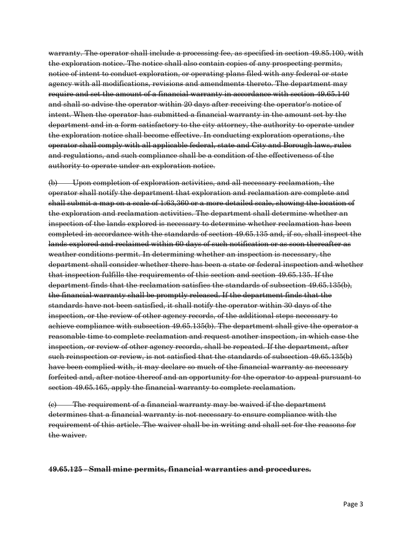warranty. The operator shall include a processing fee, as specified in section 49.85.100, with the exploration notice. The notice shall also contain copies of any prospecting permits, notice of intent to conduct exploration, or operating plans filed with any federal or state agency with all modifications, revisions and amendments thereto. The department may require and set the amount of a financial warranty in accordance with section 49.65.140 and shall so advise the operator within 20 days after receiving the operator's notice of intent. When the operator has submitted a financial warranty in the amount set by the department and in a form satisfactory to the city attorney, the authority to operate under the exploration notice shall become effective. In conducting exploration operations, the operator shall comply with all applicable federal, state and City and Borough laws, rules and regulations, and such compliance shall be a condition of the effectiveness of the authority to operate under an exploration notice.

(b) Upon completion of exploration activities, and all necessary reclamation, the operator shall notify the department that exploration and reclamation are complete and shall submit a map on a scale of 1:63,360 or a more detailed scale, showing the location of the exploration and reclamation activities. The department shall determine whether an inspection of the lands explored is necessary to determine whether reclamation has been completed in accordance with the standards of section 49.65.135 and, if so, shall inspect the lands explored and reclaimed within 60 days of such notification or as soon thereafter as weather conditions permit. In determining whether an inspection is necessary, the department shall consider whether there has been a state or federal inspection and whether that inspection fulfills the requirements of this section and section 49.65.135. If the department finds that the reclamation satisfies the standards of subsection 49.65.135(b), the financial warranty shall be promptly released. If the department finds that the standards have not been satisfied, it shall notify the operator within 30 days of the inspection, or the review of other agency records, of the additional steps necessary to achieve compliance with subsection 49.65.135(b). The department shall give the operator a reasonable time to complete reclamation and request another inspection, in which case the inspection, or review of other agency records, shall be repeated. If the department, after such reinspection or review, is not satisfied that the standards of subsection 49.65.135(b) have been complied with, it may declare so much of the financial warranty as necessary forfeited and, after notice thereof and an opportunity for the operator to appeal pursuant to section 49.65.165, apply the financial warranty to complete reclamation.

(c) The requirement of a financial warranty may be waived if the department determines that a financial warranty is not necessary to ensure compliance with the requirement of this article. The waiver shall be in writing and shall set for the reasons for the waiver.

#### **49.65.125 - Small mine permits, financial warranties and procedures.**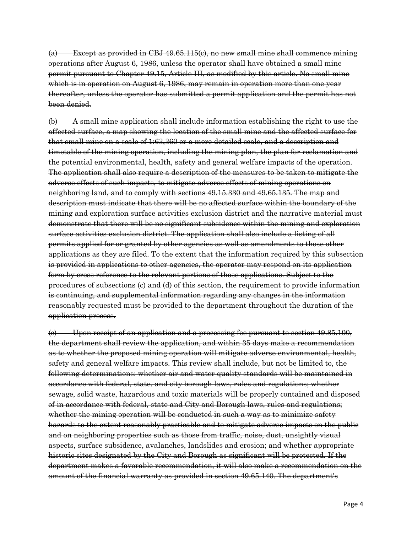(a) Except as provided in CBJ 49.65.115(c), no new small mine shall commence mining operations after August 6, 1986, unless the operator shall have obtained a small mine permit pursuant to Chapter 49.15, Article III, as modified by this article. No small mine which is in operation on August 6, 1986, may remain in operation more than one year thereafter, unless the operator has submitted a permit application and the permit has not been denied.

(b) A small mine application shall include information establishing the right to use the affected surface, a map showing the location of the small mine and the affected surface for that small mine on a scale of 1:63,360 or a more detailed scale, and a description and timetable of the mining operation, including the mining plan, the plan for reclamation and the potential environmental, health, safety and general welfare impacts of the operation. The application shall also require a description of the measures to be taken to mitigate the adverse effects of such impacts, to mitigate adverse effects of mining operations on neighboring land, and to comply with sections 49.15.330 and 49.65.135. The map and description must indicate that there will be no affected surface within the boundary of the mining and exploration surface activities exclusion district and the narrative material must demonstrate that there will be no significant subsidence within the mining and exploration surface activities exclusion district. The application shall also include a listing of all permits applied for or granted by other agencies as well as amendments to those other applications as they are filed. To the extent that the information required by this subsection is provided in applications to other agencies, the operator may respond on its application form by cross reference to the relevant portions of those applications. Subject to the procedures of subsections (c) and (d) of this section, the requirement to provide information is continuing, and supplemental information regarding any changes in the information reasonably requested must be provided to the department throughout the duration of the application process.

(c) Upon receipt of an application and a processing fee pursuant to section 49.85.100, the department shall review the application, and within 35 days make a recommendation as to whether the proposed mining operation will mitigate adverse environmental, health, safety and general welfare impacts. This review shall include, but not be limited to, the following determinations: whether air and water quality standards will be maintained in accordance with federal, state, and city borough laws, rules and regulations; whether sewage, solid waste, hazardous and toxic materials will be properly contained and disposed of in accordance with federal, state and City and Borough laws, rules and regulations; whether the mining operation will be conducted in such a way as to minimize safety hazards to the extent reasonably practicable and to mitigate adverse impacts on the public and on neighboring properties such as those from traffic, noise, dust, unsightly visual aspects, surface subsidence, avalanches, landslides and erosion; and whether appropriate historic sites designated by the City and Borough as significant will be protected. If the department makes a favorable recommendation, it will also make a recommendation on the amount of the financial warranty as provided in section 49.65.140. The department's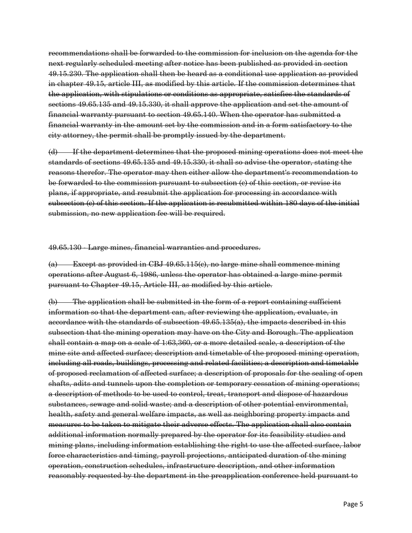recommendations shall be forwarded to the commission for inclusion on the agenda for the next regularly scheduled meeting after notice has been published as provided in section 49.15.230. The application shall then be heard as a conditional use application as provided in chapter 49.15, article III, as modified by this article. If the commission determines that the application, with stipulations or conditions as appropriate, satisfies the standards of sections 49.65.135 and 49.15.330, it shall approve the application and set the amount of financial warranty pursuant to section 49.65.140. When the operator has submitted a financial warranty in the amount set by the commission and in a form satisfactory to the city attorney, the permit shall be promptly issued by the department.

(d) If the department determines that the proposed mining operations does not meet the standards of sections 49.65.135 and 49.15.330, it shall so advise the operator, stating the reasons therefor. The operator may then either allow the department's recommendation to be forwarded to the commission pursuant to subsection (c) of this section, or revise its plans, if appropriate, and resubmit the application for processing in accordance with subsection (c) of this section. If the application is resubmitted within 180 days of the initial submission, no new application fee will be required.

49.65.130 - Large mines, financial warranties and procedures.

(a) Except as provided in CBJ 49.65.115(c), no large mine shall commence mining operations after August 6, 1986, unless the operator has obtained a large mine permit pursuant to Chapter 49.15, Article III, as modified by this article.

(b) The application shall be submitted in the form of a report containing sufficient information so that the department can, after reviewing the application, evaluate, in accordance with the standards of subsection 49.65.135(a), the impacts described in this subsection that the mining operation may have on the City and Borough. The application shall contain a map on a scale of 1:63,360, or a more detailed scale, a description of the mine site and affected surface; description and timetable of the proposed mining operation, including all roads, buildings, processing and related facilities; a description and timetable of proposed reclamation of affected surface; a description of proposals for the sealing of open shafts, adits and tunnels upon the completion or temporary cessation of mining operations; a description of methods to be used to control, treat, transport and dispose of hazardous substances, sewage and solid waste; and a description of other potential environmental, health, safety and general welfare impacts, as well as neighboring property impacts and measures to be taken to mitigate their adverse effects. The application shall also contain additional information normally prepared by the operator for its feasibility studies and mining plans, including information establishing the right to use the affected surface, labor force characteristics and timing, payroll projections, anticipated duration of the mining operation, construction schedules, infrastructure description, and other information reasonably requested by the department in the preapplication conference held pursuant to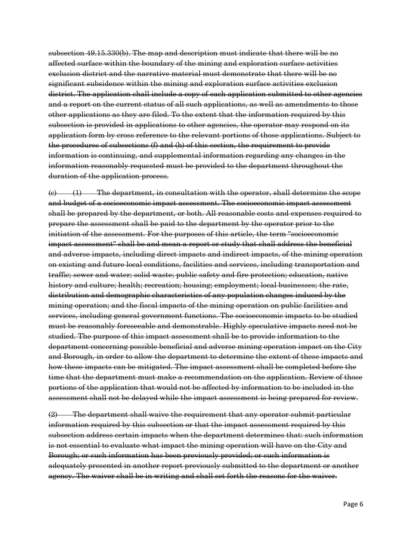subsection 49.15.330(b). The map and description must indicate that there will be no affected surface within the boundary of the mining and exploration surface activities exclusion district and the narrative material must demonstrate that there will be no significant subsidence within the mining and exploration surface activities exclusion district. The application shall include a copy of each application submitted to other agencies and a report on the current status of all such applications, as well as amendments to those other applications as they are filed. To the extent that the information required by this subsection is provided in applications to other agencies, the operator may respond on its application form by cross reference to the relevant portions of those applications. Subject to the procedures of subsections (f) and (h) of this section, the requirement to provide information is continuing, and supplemental information regarding any changes in the information reasonably requested must be provided to the department throughout the duration of the application process.

(c) (1) The department, in consultation with the operator, shall determine the scope and budget of a socioeconomic impact assessment. The socioeconomic impact assessment shall be prepared by the department, or both. All reasonable costs and expenses required to prepare the assessment shall be paid to the department by the operator prior to the initiation of the assessment. For the purposes of this article, the term "socioeconomic impact assessment" shall be and mean a report or study that shall address the beneficial and adverse impacts, including direct impacts and indirect impacts, of the mining operation on existing and future local conditions, facilities and services, including transportation and traffic; sewer and water; solid waste; public safety and fire protection; education, native history and culture; health; recreation; housing; employment; local businesses; the rate, distribution and demographic characteristics of any population changes induced by the mining operation; and the fiscal impacts of the mining operation on public facilities and services, including general government functions. The socioeconomic impacts to be studied must be reasonably foreseeable and demonstrable. Highly speculative impacts need not be studied. The purpose of this impact assessment shall be to provide information to the department concerning possible beneficial and adverse mining operation impact on the City and Borough, in order to allow the department to determine the extent of these impacts and how these impacts can be mitigated. The impact assessment shall be completed before the time that the department must make a recommendation on the application. Review of those portions of the application that would not be affected by information to be included in the assessment shall not be delayed while the impact assessment is being prepared for review.

(2) The department shall waive the requirement that any operator submit particular information required by this subsection or that the impact assessment required by this subsection address certain impacts when the department determines that: such information is not essential to evaluate what impact the mining operation will have on the City and Borough; or such information has been previously provided; or such information is adequately presented in another report previously submitted to the department or another agency. The waiver shall be in writing and shall set forth the reasons for the waiver.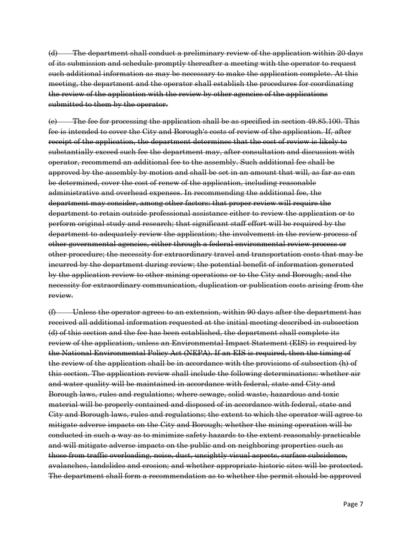(d) The department shall conduct a preliminary review of the application within 20 days of its submission and schedule promptly thereafter a meeting with the operator to request such additional information as may be necessary to make the application complete. At this meeting, the department and the operator shall establish the procedures for coordinating the review of the application with the review by other agencies of the applications submitted to them by the operator.

(e) The fee for processing the application shall be as specified in section 49.85.100. This fee is intended to cover the City and Borough's costs of review of the application. If, after receipt of the application, the department determines that the cost of review is likely to substantially exceed such fee the department may, after consultation and discussion with operator, recommend an additional fee to the assembly. Such additional fee shall be approved by the assembly by motion and shall be set in an amount that will, as far as can be determined, cover the cost of renew of the application, including reasonable administrative and overhead expenses. In recommending the additional fee, the department may consider, among other factors: that proper review will require the department to retain outside professional assistance either to review the application or to perform original study and research; that significant staff effort will be required by the department to adequately review the application; the involvement in the review process of other governmental agencies, either through a federal environmental review process or other procedure; the necessity for extraordinary travel and transportation costs that may be incurred by the department during review; the potential benefit of information generated by the application review to other mining operations or to the City and Borough; and the necessity for extraordinary communication, duplication or publication costs arising from the review.

(f) Unless the operator agrees to an extension, within 90 days after the department has received all additional information requested at the initial meeting described in subsection (d) of this section and the fee has been established, the department shall complete its review of the application, unless an Environmental Impact Statement (EIS) is required by the National Environmental Policy Act (NEPA). If an EIS is required, then the timing of the review of the application shall be in accordance with the provisions of subsection (h) of this section. The application review shall include the following determinations: whether air and water quality will be maintained in accordance with federal, state and City and Borough laws, rules and regulations; where sewage, solid waste, hazardous and toxic material will be properly contained and disposed of in accordance with federal, state and City and Borough laws, rules and regulations; the extent to which the operator will agree to mitigate adverse impacts on the City and Borough; whether the mining operation will be conducted in such a way as to minimize safety hazards to the extent reasonably practicable and will mitigate adverse impacts on the public and on neighboring properties such as those from traffic overloading, noise, dust, unsightly visual aspects, surface subsidence, avalanches, landslides and erosion; and whether appropriate historic sites will be protected. The department shall form a recommendation as to whether the permit should be approved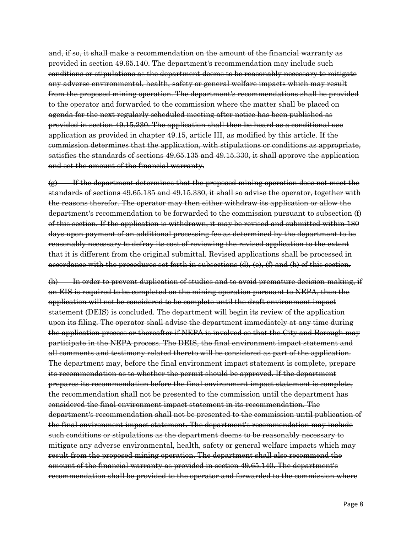and, if so, it shall make a recommendation on the amount of the financial warranty as provided in section 49.65.140. The department's recommendation may include such conditions or stipulations as the department deems to be reasonably necessary to mitigate any adverse environmental, health, safety or general welfare impacts which may result from the proposed mining operation. The department's recommendations shall be provided to the operator and forwarded to the commission where the matter shall be placed on agenda for the next regularly scheduled meeting after notice has been published as provided in section 49.15.230. The application shall then be heard as a conditional use application as provided in chapter 49.15, article III, as modified by this article. If the commission determines that the application, with stipulations or conditions as appropriate, satisfies the standards of sections 49.65.135 and 49.15.330, it shall approve the application and set the amount of the financial warranty.

 $\left( \mathbf{g} \right)$  If the department determines that the proposed mining operation does not meet the standards of sections 49.65.135 and 49.15.330, it shall so advise the operator, together with the reasons therefor. The operator may then either withdraw its application or allow the department's recommendation to be forwarded to the commission pursuant to subsection (f) of this section. If the application is withdrawn, it may be revised and submitted within 180 days upon payment of an additional processing fee as determined by the department to be reasonably necessary to defray its cost of reviewing the revised application to the extent that it is different from the original submittal. Revised applications shall be processed in accordance with the procedures set forth in subsections (d), (e), (f) and (h) of this section.

(h) In order to prevent duplication of studies and to avoid premature decision-making, if an EIS is required to be completed on the mining operation pursuant to NEPA, then the application will not be considered to be complete until the draft environment impact statement (DEIS) is concluded. The department will begin its review of the application upon its filing. The operator shall advise the department immediately at any time during the application process or thereafter if NEPA is involved so that the City and Borough may participate in the NEPA process. The DEIS, the final environment impact statement and all comments and testimony related thereto will be considered as part of the application. The department may, before the final environment impact statement is complete, prepare its recommendation as to whether the permit should be approved. If the department prepares its recommendation before the final environment impact statement is complete, the recommendation shall not be presented to the commission until the department has considered the final environment impact statement in its recommendation. The department's recommendation shall not be presented to the commission until publication of the final environment impact statement. The department's recommendation may include such conditions or stipulations as the department deems to be reasonably necessary to mitigate any adverse environmental, health, safety or general welfare impacts which may result from the proposed mining operation. The department shall also recommend the amount of the financial warranty as provided in section 49.65.140. The department's recommendation shall be provided to the operator and forwarded to the commission where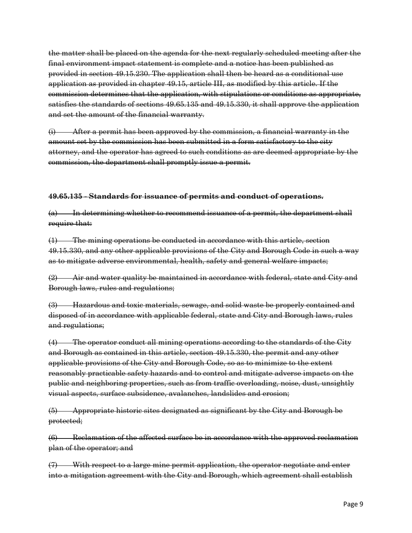the matter shall be placed on the agenda for the next regularly scheduled meeting after the final environment impact statement is complete and a notice has been published as provided in section 49.15.230. The application shall then be heard as a conditional use application as provided in chapter 49.15, article III, as modified by this article. If the commission determines that the application, with stipulations or conditions as appropriate, satisfies the standards of sections 49.65.135 and 49.15.330, it shall approve the application and set the amount of the financial warranty.

(i) After a permit has been approved by the commission, a financial warranty in the amount set by the commission has been submitted in a form satisfactory to the city attorney, and the operator has agreed to such conditions as are deemed appropriate by the commission, the department shall promptly issue a permit.

#### **49.65.135 - Standards for issuance of permits and conduct of operations.**

(a) In determining whether to recommend issuance of a permit, the department shall require that:

(1) The mining operations be conducted in accordance with this article, section 49.15.330, and any other applicable provisions of the City and Borough Code in such a way as to mitigate adverse environmental, health, safety and general welfare impacts;

(2) Air and water quality be maintained in accordance with federal, state and City and Borough laws, rules and regulations;

(3) Hazardous and toxic materials, sewage, and solid waste be properly contained and disposed of in accordance with applicable federal, state and City and Borough laws, rules and regulations;

(4) The operator conduct all mining operations according to the standards of the City and Borough as contained in this article, section 49.15.330, the permit and any other applicable provisions of the City and Borough Code, so as to minimize to the extent reasonably practicable safety hazards and to control and mitigate adverse impacts on the public and neighboring properties, such as from traffic overloading, noise, dust, unsightly visual aspects, surface subsidence, avalanches, landslides and erosion;

(5) Appropriate historic sites designated as significant by the City and Borough be protected;

(6) Reclamation of the affected surface be in accordance with the approved reclamation plan of the operator; and

(7) With respect to a large mine permit application, the operator negotiate and enter into a mitigation agreement with the City and Borough, which agreement shall establish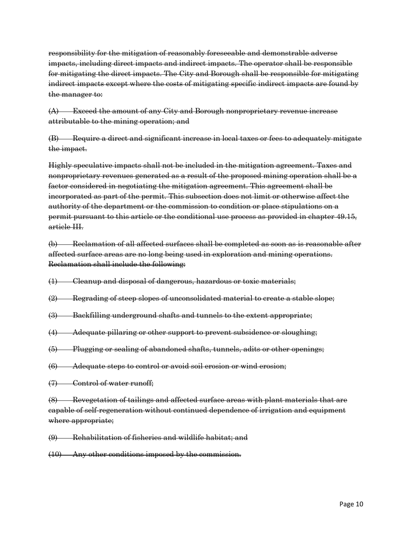responsibility for the mitigation of reasonably foreseeable and demonstrable adverse impacts, including direct impacts and indirect impacts. The operator shall be responsible for mitigating the direct impacts. The City and Borough shall be responsible for mitigating indirect impacts except where the costs of mitigating specific indirect impacts are found by the manager to:

(A) Exceed the amount of any City and Borough nonproprietary revenue increase attributable to the mining operation; and

(B) Require a direct and significant increase in local taxes or fees to adequately mitigate the impact.

Highly speculative impacts shall not be included in the mitigation agreement. Taxes and nonproprietary revenues generated as a result of the proposed mining operation shall be a factor considered in negotiating the mitigation agreement. This agreement shall be incorporated as part of the permit. This subsection does not limit or otherwise affect the authority of the department or the commission to condition or place stipulations on a permit pursuant to this article or the conditional use process as provided in chapter 49.15, article III.

(b) Reclamation of all affected surfaces shall be completed as soon as is reasonable after affected surface areas are no long being used in exploration and mining operations. Reclamation shall include the following:

- (1) Cleanup and disposal of dangerous, hazardous or toxic materials;
- (2) Regrading of steep slopes of unconsolidated material to create a stable slope;
- (3) Backfilling underground shafts and tunnels to the extent appropriate;
- (4) Adequate pillaring or other support to prevent subsidence or sloughing;
- (5) Plugging or sealing of abandoned shafts, tunnels, adits or other openings;
- (6) Adequate steps to control or avoid soil erosion or wind erosion;
- (7) Control of water runoff;

(8) Revegetation of tailings and affected surface areas with plant materials that are capable of self-regeneration without continued dependence of irrigation and equipment where appropriate;

(9) Rehabilitation of fisheries and wildlife habitat; and

(10) Any other conditions imposed by the commission.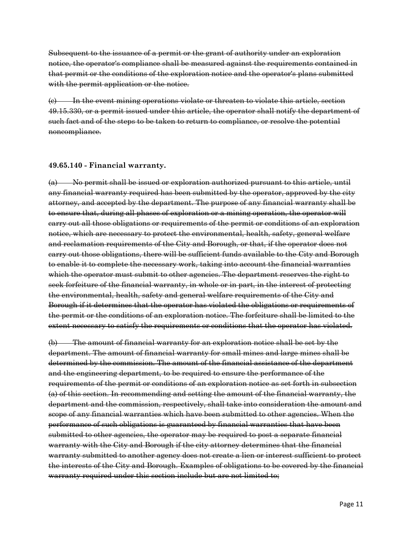Subsequent to the issuance of a permit or the grant of authority under an exploration notice, the operator's compliance shall be measured against the requirements contained in that permit or the conditions of the exploration notice and the operator's plans submitted with the permit application or the notice.

(c) In the event mining operations violate or threaten to violate this article, section 49.15.330, or a permit issued under this article, the operator shall notify the department of such fact and of the steps to be taken to return to compliance, or resolve the potential noncompliance.

#### **49.65.140 - Financial warranty.**

(a) No permit shall be issued or exploration authorized pursuant to this article, until any financial warranty required has been submitted by the operator, approved by the city attorney, and accepted by the department. The purpose of any financial warranty shall be to ensure that, during all phases of exploration or a mining operation, the operator will carry out all those obligations or requirements of the permit or conditions of an exploration notice, which are necessary to protect the environmental, health, safety, general welfare and reclamation requirements of the City and Borough, or that, if the operator does not carry out those obligations, there will be sufficient funds available to the City and Borough to enable it to complete the necessary work, taking into account the financial warranties which the operator must submit to other agencies. The department reserves the right to seek forfeiture of the financial warranty, in whole or in part, in the interest of protecting the environmental, health, safety and general welfare requirements of the City and Borough if it determines that the operator has violated the obligations or requirements of the permit or the conditions of an exploration notice. The forfeiture shall be limited to the extent necessary to satisfy the requirements or conditions that the operator has violated.

(b) The amount of financial warranty for an exploration notice shall be set by the department. The amount of financial warranty for small mines and large mines shall be determined by the commission. The amount of the financial assistance of the department and the engineering department, to be required to ensure the performance of the requirements of the permit or conditions of an exploration notice as set forth in subsection (a) of this section. In recommending and setting the amount of the financial warranty, the department and the commission, respectively, shall take into consideration the amount and scope of any financial warranties which have been submitted to other agencies. When the performance of such obligations is guaranteed by financial warranties that have been submitted to other agencies, the operator may be required to post a separate financial warranty with the City and Borough if the city attorney determines that the financial warranty submitted to another agency does not create a lien or interest sufficient to protect the interests of the City and Borough. Examples of obligations to be covered by the financial warranty required under this section include but are not limited to;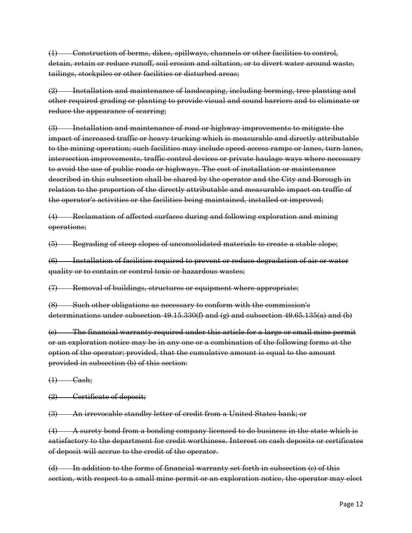(1) Construction of berms, dikes, spillways, channels or other facilities to control, detain, retain or reduce runoff, soil erosion and siltation, or to divert water around waste, tailings, stockpiles or other facilities or disturbed areas;

(2) Installation and maintenance of landscaping, including berming, tree planting and other required grading or planting to provide visual and sound barriers and to eliminate or reduce the appearance of scarring;

(3) Installation and maintenance of road or highway improvements to mitigate the impact of increased traffic or heavy trucking which is measurable and directly attributable to the mining operation; such facilities may include speed access ramps or lanes, turn lanes, intersection improvements, traffic-control devices or private haulage ways where necessary to avoid the use of public roads or highways. The cost of installation or maintenance described in this subsection shall be shared by the operator and the City and Borough in relation to the proportion of the directly attributable and measurable impact on traffic of the operator's activities or the facilities being maintained, installed or improved;

(4) Reclamation of affected surfaces during and following exploration and mining operations;

(5) Regrading of steep slopes of unconsolidated materials to create a stable slope;

(6) Installation of facilities required to prevent or reduce degradation of air or water quality or to contain or control toxic or hazardous wastes;

(7) Removal of buildings, structures or equipment where appropriate;

(8) Such other obligations as necessary to conform with the commission's determinations under subsection  $49.15.330(f)$  and  $(g)$  and subsection  $49.65.135(a)$  and (b)

(c) The financial warranty required under this article for a large or small mine permit or an exploration notice may be in any one or a combination of the following forms at the option of the operator; provided, that the cumulative amount is equal to the amount provided in subsection (b) of this section:

 $(1)$  Cash;

(2) Certificate of deposit;

(3) An irrevocable standby letter of credit from a United States bank; or

(4) A surety bond from a bonding company licensed to do business in the state which is satisfactory to the department for credit worthiness. Interest on cash deposits or certificates of deposit will accrue to the credit of the operator.

(d) In addition to the forms of financial warranty set forth in subsection (c) of this section, with respect to a small mine permit or an exploration notice, the operator may elect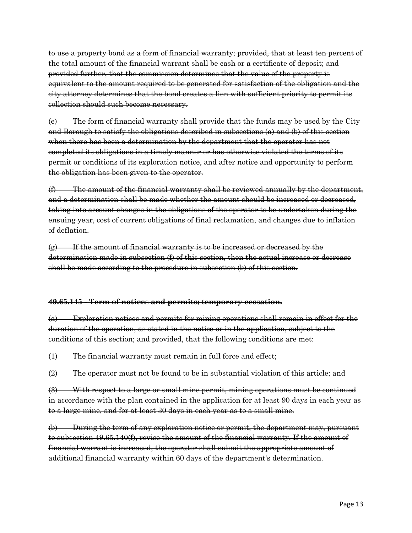to use a property bond as a form of financial warranty; provided, that at least ten percent of the total amount of the financial warrant shall be cash or a certificate of deposit; and provided further, that the commission determines that the value of the property is equivalent to the amount required to be generated for satisfaction of the obligation and the city attorney determines that the bond creates a lien with sufficient priority to permit its collection should such become necessary.

(e) The form of financial warranty shall provide that the funds may be used by the City and Borough to satisfy the obligations described in subsections (a) and (b) of this section when there has been a determination by the department that the operator has not completed its obligations in a timely manner or has otherwise violated the terms of its permit or conditions of its exploration notice, and after notice and opportunity to perform the obligation has been given to the operator.

(f) The amount of the financial warranty shall be reviewed annually by the department, and a determination shall be made whether the amount should be increased or decreased, taking into account changes in the obligations of the operator to be undertaken during the ensuing year, cost of current obligations of final reclamation, and changes due to inflation of deflation.

(g) If the amount of financial warranty is to be increased or decreased by the determination made in subsection (f) of this section, then the actual increase or decrease shall be made according to the procedure in subsection (b) of this section.

#### **49.65.145 - Term of notices and permits; temporary cessation.**

(a) Exploration notices and permits for mining operations shall remain in effect for the duration of the operation, as stated in the notice or in the application, subject to the conditions of this section; and provided, that the following conditions are met:

(1) The financial warranty must remain in full force and effect;

(2) The operator must not be found to be in substantial violation of this article; and

(3) With respect to a large or small mine permit, mining operations must be continued in accordance with the plan contained in the application for at least 90 days in each year as to a large mine, and for at least 30 days in each year as to a small mine.

(b) During the term of any exploration notice or permit, the department may, pursuant to subsection 49.65.140(f), revise the amount of the financial warranty. If the amount of financial warrant is increased, the operator shall submit the appropriate amount of additional financial warranty within 60 days of the department's determination.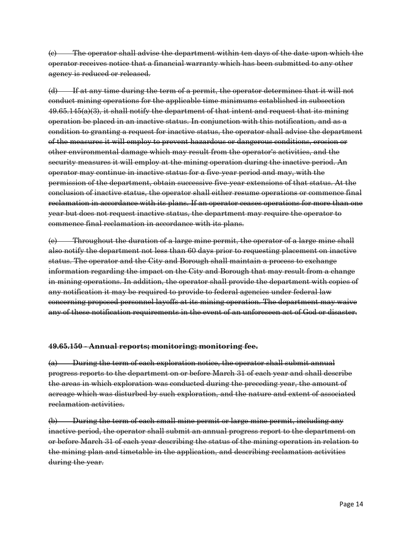(c) The operator shall advise the department within ten days of the date upon which the operator receives notice that a financial warranty which has been submitted to any other agency is reduced or released.

(d) If at any time during the term of a permit, the operator determines that it will not conduct mining operations for the applicable time minimums established in subsection  $49.65.145(a)(3)$ , it shall notify the department of that intent and request that its mining operation be placed in an inactive status. In conjunction with this notification, and as a condition to granting a request for inactive status, the operator shall advise the department of the measures it will employ to prevent hazardous or dangerous conditions, erosion or other environmental damage which may result from the operator's activities, and the security measures it will employ at the mining operation during the inactive period. An operator may continue in inactive status for a five-year period and may, with the permission of the department, obtain successive five-year extensions of that status. At the conclusion of inactive status, the operator shall either resume operations or commence final reclamation in accordance with its plans. If an operator ceases operations for more than one year but does not request inactive status, the department may require the operator to commence final reclamation in accordance with its plans.

(e) Throughout the duration of a large mine permit, the operator of a large mine shall also notify the department not less than 60 days prior to requesting placement on inactive status. The operator and the City and Borough shall maintain a process to exchange information regarding the impact on the City and Borough that may result from a change in mining operations. In addition, the operator shall provide the department with copies of any notification it may be required to provide to federal agencies under federal law concerning proposed personnel layoffs at its mining operation. The department may waive any of these notification requirements in the event of an unforeseen act of God or disaster.

#### **49.65.150 - Annual reports; monitoring; monitoring fee.**

(a) During the term of each exploration notice, the operator shall submit annual progress reports to the department on or before March 31 of each year and shall describe the areas in which exploration was conducted during the preceding year, the amount of acreage which was disturbed by such exploration, and the nature and extent of associated reclamation activities.

(b) During the term of each small mine permit or large mine permit, including any inactive period, the operator shall submit an annual progress report to the department on or before March 31 of each year describing the status of the mining operation in relation to the mining plan and timetable in the application, and describing reclamation activities during the year.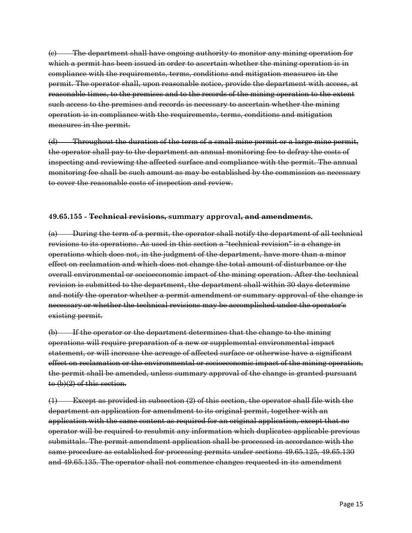(c) The department shall have ongoing authority to monitor any mining operation for which a permit has been issued in order to ascertain whether the mining operation is in compliance with the requirements, terms, conditions and mitigation measures in the permit. The operator shall, upon reasonable notice, provide the department with access, at reasonable times, to the premises and to the records of the mining operation to the extent such access to the premises and records is necessary to ascertain whether the mining operation is in compliance with the requirements, terms, conditions and mitigation measures in the permit.

(d) Throughout the duration of the term of a small mine permit or a large mine permit, the operator shall pay to the department an annual monitoring fee to defray the costs of inspecting and reviewing the affected surface and compliance with the permit. The annual monitoring fee shall be such amount as may be established by the commission as necessary to cover the reasonable costs of inspection and review.

#### **49.65.155 - Technical revisions, summary approval, and amendments.**

(a) During the term of a permit, the operator shall notify the department of all technical revisions to its operations. As used in this section a "technical revision" is a change in operations which does not, in the judgment of the department, have more than a minor effect on reclamation and which does not change the total amount of disturbance or the overall environmental or socioeconomic impact of the mining operation. After the technical revision is submitted to the department, the department shall within 30 days determine and notify the operator whether a permit amendment or summary approval of the change is necessary or whether the technical revisions may be accomplished under the operator's existing permit.

(b) If the operator or the department determines that the change to the mining operations will require preparation of a new or supplemental environmental impact statement, or will increase the acreage of affected surface or otherwise have a significant effect on reclamation or the environmental or socioeconomic impact of the mining operation, the permit shall be amended, unless summary approval of the change is granted pursuant to (b)(2) of this section.

(1) Except as provided in subsection (2) of this section, the operator shall file with the department an application for amendment to its original permit, together with an application with the same content as required for an original application, except that no operator will be required to resubmit any information which duplicates applicable previous submittals. The permit amendment application shall be processed in accordance with the same procedure as established for processing permits under sections 49.65.125, 49.65.130 and 49.65.135. The operator shall not commence changes requested in its amendment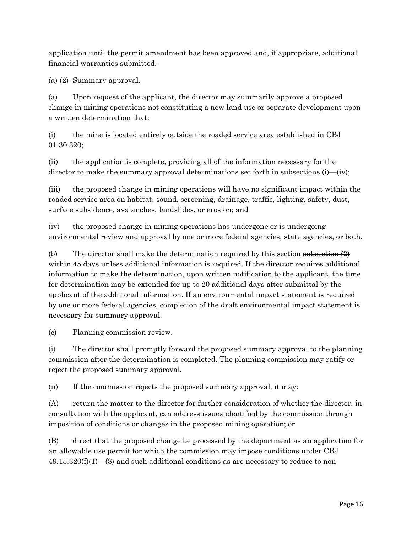application until the permit amendment has been approved and, if appropriate, additional financial warranties submitted.

(a)  $(2)$  Summary approval.

(a) Upon request of the applicant, the director may summarily approve a proposed change in mining operations not constituting a new land use or separate development upon a written determination that:

(i) the mine is located entirely outside the roaded service area established in CBJ 01.30.320;

(ii) the application is complete, providing all of the information necessary for the director to make the summary approval determinations set forth in subsections (i)—(iv);

(iii) the proposed change in mining operations will have no significant impact within the roaded service area on habitat, sound, screening, drainage, traffic, lighting, safety, dust, surface subsidence, avalanches, landslides, or erosion; and

(iv) the proposed change in mining operations has undergone or is undergoing environmental review and approval by one or more federal agencies, state agencies, or both.

(b) The director shall make the determination required by this section subsection  $(2)$ within 45 days unless additional information is required. If the director requires additional information to make the determination, upon written notification to the applicant, the time for determination may be extended for up to 20 additional days after submittal by the applicant of the additional information. If an environmental impact statement is required by one or more federal agencies, completion of the draft environmental impact statement is necessary for summary approval.

(c) Planning commission review.

(i) The director shall promptly forward the proposed summary approval to the planning commission after the determination is completed. The planning commission may ratify or reject the proposed summary approval.

(ii) If the commission rejects the proposed summary approval, it may:

(A) return the matter to the director for further consideration of whether the director, in consultation with the applicant, can address issues identified by the commission through imposition of conditions or changes in the proposed mining operation; or

(B) direct that the proposed change be processed by the department as an application for an allowable use permit for which the commission may impose conditions under CBJ  $49.15.320(f)(1)$ —(8) and such additional conditions as are necessary to reduce to non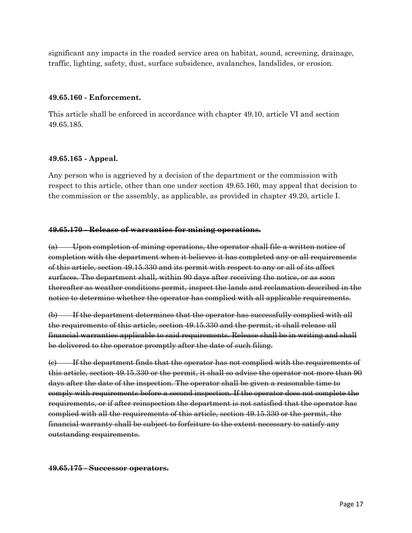significant any impacts in the roaded service area on habitat, sound, screening, drainage, traffic, lighting, safety, dust, surface subsidence, avalanches, landslides, or erosion.

#### **49.65.160 - Enforcement.**

This article shall be enforced in accordance with chapter 49.10, article VI and section 49.65.185.

#### **49.65.165 - Appeal.**

Any person who is aggrieved by a decision of the department or the commission with respect to this article, other than one under section 49.65.160, may appeal that decision to the commission or the assembly, as applicable, as provided in chapter 49.20, article I.

#### **49.65.170 - Release of warranties for mining operations.**

(a) Upon completion of mining operations, the operator shall file a written notice of completion with the department when it believes it has completed any or all requirements of this article, section 49.15.330 and its permit with respect to any or all of its affect surfaces. The department shall, within 90 days after receiving the notice, or as soon thereafter as weather conditions permit, inspect the lands and reclamation described in the notice to determine whether the operator has complied with all applicable requirements.

(b) If the department determines that the operator has successfully complied with all the requirements of this article, section 49.15.330 and the permit, it shall release all financial warranties applicable to said requirements. Release shall be in writing and shall be delivered to the operator promptly after the date of such filing.

(c) If the department finds that the operator has not complied with the requirements of this article, section 49.15.330 or the permit, it shall so advise the operator not more than 90 days after the date of the inspection. The operator shall be given a reasonable time to comply with requirements before a second inspection. If the operator does not complete the requirements, or if after reinspection the department is not satisfied that the operator has complied with all the requirements of this article, section 49.15.330 or the permit, the financial warranty shall be subject to forfeiture to the extent necessary to satisfy any outstanding requirements.

#### **49.65.175 - Successor operators.**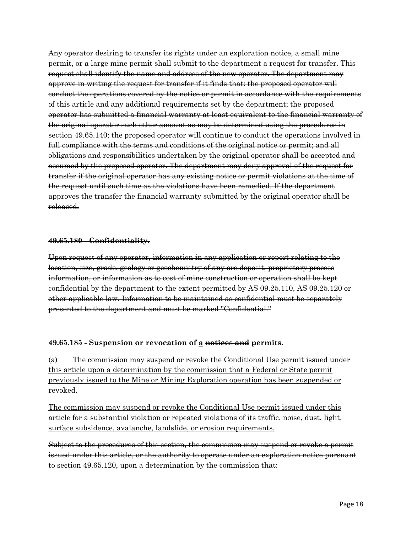Any operator desiring to transfer its rights under an exploration notice, a small mine permit, or a large mine permit shall submit to the department a request for transfer. This request shall identify the name and address of the new operator. The department may approve in writing the request for transfer if it finds that: the proposed operator will conduct the operations covered by the notice or permit in accordance with the requirements of this article and any additional requirements set by the department; the proposed operator has submitted a financial warranty at least equivalent to the financial warranty of the original operator such other amount as may be determined using the procedures in section 49.65.140; the proposed operator will continue to conduct the operations involved in full compliance with the terms and conditions of the original notice or permit; and all obligations and responsibilities undertaken by the original operator shall be accepted and assumed by the proposed operator. The department may deny approval of the request for transfer if the original operator has any existing notice or permit violations at the time of the request until such time as the violations have been remedied. If the department approves the transfer the financial warranty submitted by the original operator shall be released.

#### **49.65.180 - Confidentiality.**

Upon request of any operator, information in any application or report relating to the location, size, grade, geology or geochemistry of any ore deposit, proprietary process information, or information as to cost of mine construction or operation shall be kept confidential by the department to the extent permitted by AS 09.25.110, AS 09.25.120 or other applicable law. Information to be maintained as confidential must be separately presented to the department and must be marked "Confidential."

#### **49.65.185 - Suspension or revocation of a notices and permits.**

(a) The commission may suspend or revoke the Conditional Use permit issued under this article upon a determination by the commission that a Federal or State permit previously issued to the Mine or Mining Exploration operation has been suspended or revoked.

The commission may suspend or revoke the Conditional Use permit issued under this article for a substantial violation or repeated violations of its traffic, noise, dust, light, surface subsidence, avalanche, landslide, or erosion requirements.

Subject to the procedures of this section, the commission may suspend or revoke a permit issued under this article, or the authority to operate under an exploration notice pursuant to section 49.65.120, upon a determination by the commission that: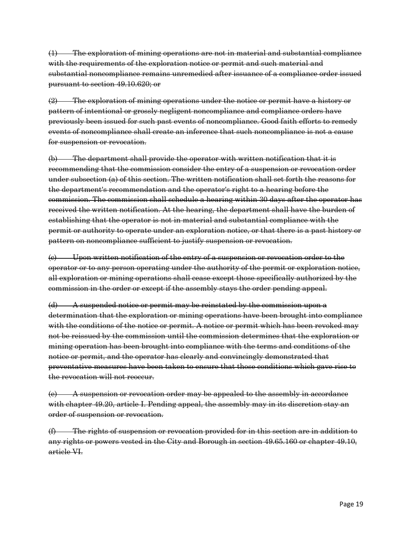(1) The exploration of mining operations are not in material and substantial compliance with the requirements of the exploration notice or permit and such material and substantial noncompliance remains unremedied after issuance of a compliance order issued pursuant to section 49.10.620; or

(2) The exploration of mining operations under the notice or permit have a history or pattern of intentional or grossly negligent noncompliance and compliance orders have previously been issued for such past events of noncompliance. Good faith efforts to remedy events of noncompliance shall create an inference that such noncompliance is not a cause for suspension or revocation.

(b) The department shall provide the operator with written notification that it is recommending that the commission consider the entry of a suspension or revocation order under subsection (a) of this section. The written notification shall set forth the reasons for the department's recommendation and the operator's right to a hearing before the commission. The commission shall schedule a hearing within 30 days after the operator has received the written notification. At the hearing, the department shall have the burden of establishing that the operator is not in material and substantial compliance with the permit or authority to operate under an exploration notice, or that there is a past history or pattern on noncompliance sufficient to justify suspension or revocation.

(c) Upon written notification of the entry of a suspension or revocation order to the operator or to any person operating under the authority of the permit or exploration notice, all exploration or mining operations shall cease except those specifically authorized by the commission in the order or except if the assembly stays the order pending appeal.

(d) A suspended notice or permit may be reinstated by the commission upon a determination that the exploration or mining operations have been brought into compliance with the conditions of the notice or permit. A notice or permit which has been revoked may not be reissued by the commission until the commission determines that the exploration or mining operation has been brought into compliance with the terms and conditions of the notice or permit, and the operator has clearly and convincingly demonstrated that preventative measures have been taken to ensure that those conditions which gave rise to the revocation will not reoccur.

(e) A suspension or revocation order may be appealed to the assembly in accordance with chapter 49.20, article I. Pending appeal, the assembly may in its discretion stay an order of suspension or revocation.

(f) The rights of suspension or revocation provided for in this section are in addition to any rights or powers vested in the City and Borough in section 49.65.160 or chapter 49.10, article VI.